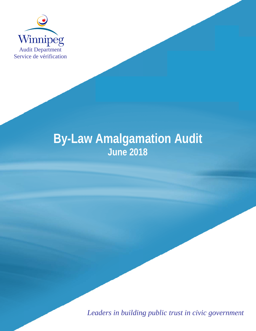

# **By-Law Amalgamation Audit** June 2018

Leaders in building public trust in civic government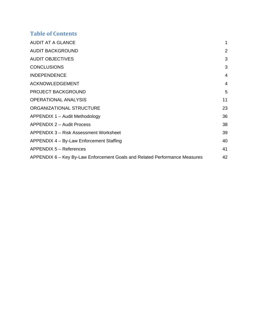## **Table of Contents**

| <b>AUDIT AT A GLANCE</b>                                                   |    |
|----------------------------------------------------------------------------|----|
| <b>AUDIT BACKGROUND</b>                                                    | 2  |
| <b>AUDIT OBJECTIVES</b>                                                    | 3  |
| <b>CONCLUSIONS</b>                                                         | 3  |
| <b>INDEPENDENCE</b>                                                        | 4  |
| <b>ACKNOWLEDGEMENT</b>                                                     | 4  |
| <b>PROJECT BACKGROUND</b>                                                  | 5  |
| <b>OPERATIONAL ANALYSIS</b>                                                | 11 |
| ORGANIZATIONAL STRUCTURE                                                   | 23 |
| APPENDIX 1 – Audit Methodology                                             | 36 |
| APPENDIX 2 - Audit Process                                                 | 38 |
| APPENDIX 3 – Risk Assessment Worksheet                                     | 39 |
| APPENDIX 4 - By-Law Enforcement Staffing                                   | 40 |
| APPENDIX 5 - References                                                    | 41 |
| APPENDIX 6 – Key By-Law Enforcement Goals and Related Performance Measures | 42 |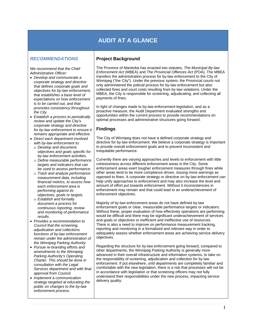## **AUDIT AT A GLANCE**

#### *RECOMMENDATIONS*

*We recommend that the Chief Administrative Officer:* 

- *Develop and communicate a corporate strategy and directive that defines corporate goals and objectives for by-law enforcement, that establishes a base level of expectations on how enforcement is to be carried out, and that promotes consistency throughout the City.*
- *Establish a process to periodically review and update the City's corporate strategy and directive for by-law enforcement to ensure it remains appropriate and effective.*
- *Direct each department involved with by-law enforcement to:* 
	- o *Develop and document, objectives and goals specific for by-law enforcement activities.*
	- o *Define measurable performance targets and indicators that can be used to assess performance.*
	- o *Track and analyze performance measurement data, including financial metrics, to assess how each enforcement area is performing against its objectives, goals or targets.*
	- o *Establish and formally document a process for continuous reporting, review and monitoring of performance results.*
- *Provides a recommendation to Council that the screening, adjudication and collections functions of by-law enforcement remain under the administration of the Winnipeg Parking Authority.*
- *Pursue re-branding efforts and amendments to the Winnipeg Parking Authority's Operating Charter. This should be done in consultation with the Legal Services department and with final approval from Council.*
- *Implement a communication strategy targeted at educating the public on changes to the by-law enforcement process.*

#### **Project Background**

The Province of Manitoba has enacted two statutes, *The Municipal By-law Enforcement Act* (MBEA) and *The Provincial Offences Act* (POA). The MBEA transfers the administration process for by-law enforcement to the City of Winnipeg ("the City"). Under the previous system, the Provincial courts not only administered the judicial process for by-law enforcement but also collected fines and court costs resulting from by-law violations. Under the MBEA, the City is responsible for screening, adjudicating, and collecting all payments of fines.

In light of changes made to by-law enforcement legislation, and as a proactive measure, the Audit Department evaluated strengths and opportunities within the current process to provide recommendations on optimal processes and administrative structures going forward.

#### **Findings**

The City of Winnipeg does not have a defined corporate strategy and directive for by-law enforcement. We believe a corporate strategy is important to provide overall enforcement goals and to prevent inconsistent and inequitable performance.

Currently there are varying approaches and levels to enforcement with little cohesiveness across different enforcement areas in the City. Some enforcement areas exert tougher enforcement measures through fines while other areas tend to be more compliance driven, issuing more warnings as opposed to fines. A corporate strategy or directive on by-law enforcement can help unify approaches to enforcement and may also increase the level and amount of effort put towards enforcement. Without it inconsistencies in enforcement may remain and that could lead to an underachievement of enforcement objectives.

Majority of by-law enforcement areas do not have defined by-law enforcement goals or clear, measurable performance targets or indicators. Without these, proper evaluation of how effectively operations are performing would be difficult and there may be significant underachievement of services and goals or objectives or inefficient and ineffective use of resources. There is also a need to improve on performance measurement tracking, reporting and monitoring in a formalized and relevant way in order to adequately assess whether enforcement areas are achieving service delivery objectives.

Regarding the structure for by-law enforcement going forward, compared to other departments, the Winnipeg Parking Authority is generally more advanced in their overall infrastructure and information systems, to take on the responsibility of screening, adjudication and collection for by law enforcement. If put elsewhere, until departments are completely familiar and comfortable with the new legislation, there is a risk that processes will not be in accordance with legislation or that screening officers may not fully understand their responsibilities under the new process, impacting service delivery quality.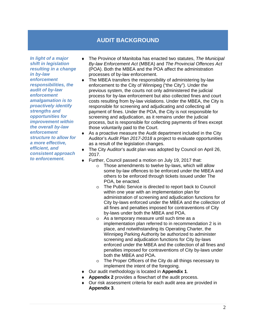## **AUDIT BACKGROUND**

*In light of a major shift in legislation resulting in a change in by-law enforcement responsibilities, the audit of by-law enforcement amalgamation is to proactively identify strengths and opportunities for improvement within the overall by-law enforcement structure to allow for a more effective, efficient, and consistent approach to enforcement.* 

- The Province of Manitoba has enacted two statutes, *The Municipal By-law Enforcement Act* (MBEA) and *The Provincial Offences Act* (POA). Both the MBEA and the POA affect the administration processes of by-law enforcement.
- ♦ The MBEA transfers the responsibility of administering by-law enforcement to the City of Winnipeg ("the City"). Under the previous system, the courts not only administered the judicial process for by-law enforcement but also collected fines and court costs resulting from by-law violations. Under the MBEA, the City is responsible for screening and adjudicating and collecting all payment of fines. Under the POA, the City is not responsible for screening and adjudication, as it remains under the judicial process, but is responsible for collecting payments of fines except those voluntarily paid to the Court.
- ♦ As a proactive measure the Audit department included in the City Auditor's *Audit Plan 2017-2018* a project to evaluate opportunities as a result of the legislation changes.
- The City Auditor's audit plan was adopted by Council on April 26, 2017.
- ♦ Further, Council passed a motion on July 19, 2017 that:
	- o Those amendments to twelve by-laws, which will allow some by-law offences to be enforced under the MBEA and others to be enforced through tickets issued under The POA, be enacted.
	- o The Public Service is directed to report back to Council within one year with an implementation plan for administration of screening and adjudication functions for City by-laws enforced under the MBEA and the collection of all fines and penalties imposed for contraventions of City by-laws under both the MBEA and POA.
	- o As a temporary measure until such time as a implementation plan referred to in recommendation 2 is in place, and notwithstanding its Operating Charter, the Winnipeg Parking Authority be authorized to administer screening and adjudication functions for City by-laws enforced under the MBEA and the collection of all fines and penalties imposed for contraventions of City by-laws under both the MBEA and POA.
	- o The Proper Officers of the City do all things necessary to implement the intent of the foregoing.
- ♦ Our audit methodology is located in **Appendix 1**.
- ♦ **Appendix 2** provides a flowchart of the audit process.
- ♦ Our risk assessment criteria for each audit area are provided in **Appendix 3**.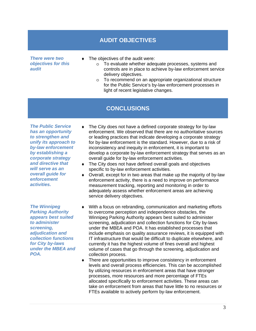### **AUDIT OBJECTIVES**

*There were two objectives for this audit* 

- $\bullet$  The objectives of the audit were:
	- o To evaluate whether adequate processes, systems and controls are in place to achieve by-law enforcement service delivery objectives.
	- o To recommend on an appropriate organizational structure for the Public Service's by-law enforcement processes in light of recent legislative changes.

## **CONCLUSIONS**

*The Public Service has an opportunity to strengthen and unify its approach to by-law enforcement by establishing a corporate strategy and directive that will serve as an overall guide for enforcement activities.* 

*The Winnipeg Parking Authority appears best suited to administer screening, adjudication and collection functions for City by-laws under the MBEA and POA.* 

- The City does not have a defined corporate strategy for by-law enforcement. We observed that there are no authoritative sources or leading practices that indicate developing a corporate strategy for by-law enforcement is the standard. However, due to a risk of inconsistency and inequity in enforcement, it is important to develop a corporate by-law enforcement strategy that serves as an overall guide for by-law enforcement activities.
- ♦ The City does not have defined overall goals and objectives specific to by-law enforcement activities.
- ♦ Overall, except for in two areas that make up the majority of by-law enforcement activity, there is a need to improve on performance measurement tracking, reporting and monitoring in order to adequately assess whether enforcement areas are achieving service delivery objectives.
- ♦ With a focus on rebranding, communication and marketing efforts to overcome perception and independence obstacles, the Winnipeg Parking Authority appears best suited to administer screening, adjudication and collection functions for City by-laws under the MBEA and POA. It has established processes that include emphasis on quality assurance reviews, it is equipped with IT infrastructure that would be difficult to duplicate elsewhere, and currently it has the highest volume of fines overall and highest volume of cases that go through the screening, adjudication and collection process.
- ♦ There are opportunities to improve consistency in enforcement levels and overall process efficiencies. This can be accomplished by utilizing resources in enforcement areas that have stronger processes, more resources and more percentage of FTEs allocated specifically to enforcement activities. These areas can take on enforcement from areas that have little to no resources or FTEs available to actively perform by-law enforcement.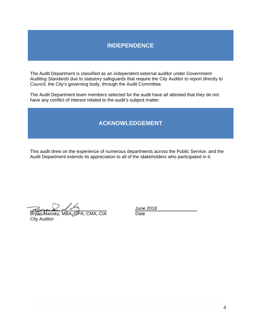## **INDEPENDENCE**

The Audit Department is classified as an independent external auditor under Government Auditing Standards due to statutory safeguards that require the City Auditor to report directly to Council, the City's governing body, through the Audit Committee.

The Audit Department team members selected for the audit have all attested that they do not have any conflict of interest related to the audit's subject matter.

## **ACKNO OWLEDGE EMENT**

This audit drew on the experience of numerous departments across the Public Service, and the Audit Department extends its appreciation to all of the stakeholders who participated in it.

Í Í

Bryan Ma ansky, MBA City Aud itor CPA, CMA, CIA June 2018 **Date**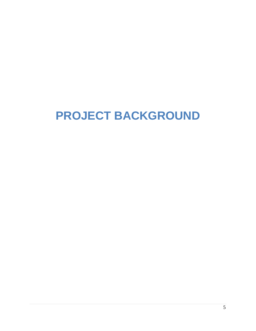# **PROJECT BACKGROUND**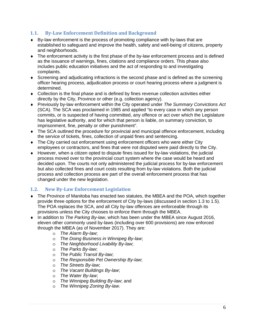#### **1.1. By-Law Enforcement Definition and Background**

- ♦ By-law enforcement is the process of promoting compliance with by-laws that are established to safeguard and improve the health, safety and well-being of citizens, property and neighborhoods.
- $\bullet$  The enforcement activity is the first phase of the by-law enforcement process and is defined as the issuance of warnings, fines, citations and compliance orders. This phase also includes public education initiatives and the act of responding to and investigating complaints.
- ♦ Screening and adjudicating infractions is the second phase and is defined as the screening officer hearing process, adjudication process or court hearing process where a judgment is determined.
- $\bullet$  Collection is the final phase and is defined by fines revenue collection activities either directly by the City, Province or other (e.g. collection agency).
- ♦ Previously by-law enforcement within the City operated under *The Summary Convictions Act* (SCA). The SCA was proclaimed in 1985 and applied "to every case in which any person commits, or is suspected of having committed, any offence or act over which the Legislature has legislative authority, and for which that person is liable, on summary conviction, to imprisonment, fine, penalty or other punishment".
- ♦ The SCA outlined the procedure for provincial and municipal offence enforcement, including the service of tickets, fines, collection of unpaid fines and sentencing.
- ♦ The City carried out enforcement using enforcement officers who were either City employees or contractors, and fines that were not disputed were paid directly to the City.
- ♦ However, when a citizen opted to dispute fines issued for by-law violations, the judicial process moved over to the provincial court system where the case would be heard and decided upon. The courts not only administered the judicial process for by-law enforcement but also collected fines and court costs resulting from by-law violations. Both the judicial process and collection process are part of the overall enforcement process that has changed under the new legislation.

#### **1.2. New By-Law Enforcement Legislation**

- ♦ The Province of Manitoba has enacted two statutes, the MBEA and the POA, which together provide three options for the enforcement of City by-laws (discussed in section 1.3 to 1.5). The POA replaces the SCA, and all City by-law offences are enforceable through its provisions unless the City chooses to enforce them through the MBEA.
- ♦ In addition to *The Parking By-law*, which has been under the MBEA since August 2016, eleven other commonly used by-laws (including over 600 provisions) are now enforced through the MBEA (as of November 2017). They are:
	- o *The Alarm By-law*;
	- o *The Doing Business in Winnipeg By-law*;
	- o *The Neighborhood Livability By-law*;
	- o *The Parks By-law*;
	- o *The Public Transit By-law*;
	- o *The Responsible Pet Ownership By-law*;
	- o *The Streets By-law*;
	- o *The Vacant Buildings By-law*;
	- o *The Water By-law*;
	- o *The Winnipeg Building By-law*; and
	- o *The Winnipeg Zoning By-law*.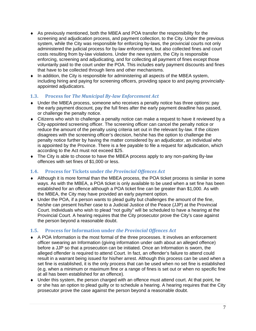- ♦ As previously mentioned, both the MBEA and POA transfer the responsibility for the screening and adjudication process, and payment collection, to the City. Under the previous system, while the City was responsible for enforcing by-laws, the provincial courts not only administered the judicial process for by-law enforcement, but also collected fines and court costs resulting from by-law violations. Under the new system, the City is responsible enforcing, screening and adjudicating, and for collecting all payment of fines except those voluntarily paid to the court under the POA. This includes early payment discounts and fines that have to be collected through liens and other mechanisms.
- ♦ In addition, the City is responsible for administering all aspects of the MBEA system, including hiring and paying for screening officers, providing space to and paying provinciallyappointed adjudicators.

#### **1.3. Process for** *The Municipal By-law Enforcement Act*

- ♦ Under the MBEA process, someone who receives a penalty notice has three options: pay the early payment discount, pay the full fines after the early payment deadline has passed, or challenge the penalty notice.
- $\bullet$  Citizens who wish to challenge a penalty notice can make a request to have it reviewed by a City-appointed screening officer. The screening officer can cancel the penalty notice or reduce the amount of the penalty using criteria set out in the relevant by-law. If the citizen disagrees with the screening officer's decision, he/she has the option to challenge the penalty notice further by having the matter considered by an adjudicator, an individual who is appointed by the Province. There is a fee payable to file a request for adjudication, which according to the Act must not exceed \$25.
- ♦ The City is able to choose to have the MBEA process apply to any non-parking By-law offences with set fines of \$1,000 or less.

#### **1.4. Process for Tickets under** *the Provincial Offences Act*

- ♦ Although it is more formal than the MBEA process, the POA ticket process is similar in some ways. As with the MBEA, a POA ticket is only available to be used when a set fine has been established for an offence although a POA ticket fine can be greater than \$1,000. As with the MBEA, the City may have provided an early payment option.
- $\bullet$  Under the POA, if a person wants to plead quilty but challenges the amount of the fine, he/she can present his/her case to a Judicial Justice of the Peace (JJP) at the Provincial Court. Individuals who wish to plead "not guilty" will be scheduled to have a hearing at the Provincial Court. A hearing requires that the City prosecutor prove the City's case against the person beyond a reasonable doubt.

#### **1.5. Process for Information under** *the Provincial Offences Act*

- ♦ A POA Information is the most formal of the three processes. It involves an enforcement officer swearing an Information (giving information under oath about an alleged offence) before a JJP so that a prosecution can be initiated. Once an Information is sworn, the alleged offender is required to attend Court. In fact, an offender's failure to attend could result in a warrant being issued for his/her arrest. Although this process can be used when a set fine is established, it is the only process that can be used when no set fine is established (e.g. when a minimum or maximum fine or a range of fines is set out or when no specific fine at all has been established for an offence).
- ♦ Under this system, the person charged with an offence must attend court. At that point, he or she has an option to plead guilty or to schedule a hearing. A hearing requires that the City prosecutor prove the case against the person beyond a reasonable doubt.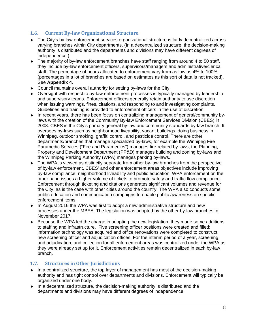#### **1.6. Current By-law Organizational Structure**

- ♦ The City's by-law enforcement services organizational structure is fairly decentralized across varying branches within City departments. (In a decentralized structure, the decision-making authority is distributed and the departments and divisions may have different degrees of independence.)
- ♦ The majority of by-law enforcement branches have staff ranging from around 4 to 50 staff, they include by-law enforcement officers, supervisors/managers and administrative/clerical staff. The percentage of hours allocated to enforcement vary from as low as 4% to 100% (percentages in a lot of branches are based on estimates as this sort of data is not tracked). See **Appendix 4**.
- ♦ Council maintains overall authority for setting by-laws for the City.
- ♦ Oversight with respect to by-law enforcement processes is typically managed by leadership and supervisory teams. Enforcement officers generally retain authority to use discretion when issuing warnings, fines, citations, and responding to and investigating complaints. Guidelines and training is provided to enforcement officers in the use of discretion.
- ♦ In recent years, there has been focus on centralizing management of general/community bylaws with the creation of the Community By-law Enforcement Services Division (CBES) in 2008. CBES is the City's primary general by-law and community standards by-law branch. It oversees by-laws such as neighborhood liveability, vacant buildings, doing business in Winnipeg, outdoor smoking, graffiti control, and pesticide control. There are other departments/branches that manage specialized by-laws, for example the Winnipeg Fire Paramedic Services ("Fire and Paramedics") manages fire-related by-laws, the Planning, Property and Development Department (PP&D) manages building and zoning by-laws and the Winnipeg Parking Authority (WPA) manages parking by-laws.
- ♦ The WPA is viewed as distinctly separate from other by-law branches from the perspective of by-law enforcement. CBES' and other enforcement areas objectives include improving by-law compliance, neighborhood liveability and public education. WPA enforcement on the other hand issues a higher volume of tickets to promote safety and traffic flow compliance. Enforcement through ticketing and citations generates significant volumes and revenue for the City, as is the case with other cities around the country. The WPA also conducts some public education and communication campaigns to enable public awareness on specific enforcement items.
- ♦ In August 2016 the WPA was first to adopt a new administrative structure and new processes under the MBEA. The legislation was adopted by the other by-law branches in November 2017.
- ♦ Because the WPA led the charge in adopting the new legislation, they made some additions to staffing and infrastructure. Five screening officer positions were created and filled; information technology was acquired and office renovations were completed to construct new screening officer and adjudication offices. For the interim period of a year, screening and adjudication, and collection for all enforcement areas was centralized under the WPA as they were already set up for it. Enforcement activities remain decentralized in each by-law branch.

#### **1.7. Structures in Other Jurisdictions**

- $\bullet$  In a centralized structure, the top layer of management has most of the decision-making authority and has tight control over departments and divisions. Enforcement will typically be organized under one body.
- $\bullet$  In a decentralized structure, the decision-making authority is distributed and the departments and divisions may have different degrees of independence.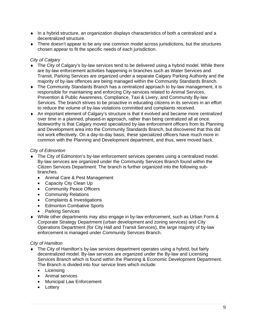- $\bullet$  In a hybrid structure, an organization displays characteristics of both a centralized and a decentralized structure.
- ♦ There doesn't appear to be any one common model across jurisdictions, but the structures chosen appear to fit the specific needs of each jurisdiction.

#### *City of Calgary*

- The City of Calgary's by-law services tend to be delivered using a hybrid model. While there are by-law enforcement activities happening in branches such as Water Services and Transit, Parking Services are organized under a separate Calgary Parking Authority and the majority of by-law offences are being managed within the Community Standards Branch.
- The Community Standards Branch has a centralized approach to by-law management, it is responsible for maintaining and enforcing City-services related to Animal Services, Prevention & Public Awareness, Compliance, Taxi & Livery, and Community By-law Services. The branch strives to be proactive in educating citizens in its services in an effort to reduce the volume of by-law violations committed and complaints received.
- ♦ An important element of Calgary's structure is that it evolved and became more centralized over time in a planned, phased-in approach, rather than being centralized all at once. Noteworthy is that Calgary moved specialized by-law enforcement officers from its Planning and Development area into the Community Standards Branch, but discovered that this did not work effectively. On a day-to-day basis, these specialized officers have much more in common with the Planning and Development department, and thus, were moved back.

#### *City of Edmonton*

- ♦ The City of Edmonton's by-law enforcement services operates using a centralized model. By-law services are organized under the Community Services Branch found within the Citizen Services Department. The branch is further organized into the following subbranches.
	- Animal Care & Pest Management
	- Capacity City Clean Up
	- Community Peace Officers
	- Community Relations
	- Complaints & Investigations
	- Edmonton Combative Sports
	- Parking Services
- ♦ While other departments may also engage in by-law enforcement, such as Urban Form & Corporate Strategy Department (urban development and zoning services) and City Operations Department (for City Hall and Transit Services), the large majority of by-law enforcement is managed under Community Services Branch.

#### *City of Hamilton*

- The City of Hamilton's by-law services department operates using a hybrid, but fairly decentralized model. By-law services are organized under the By-law and Licensing Services Branch which is found within the Planning & Economic Development Department. The Branch is divided into four service lines which include:
	- Licensing
	- Animal services
	- Municipal Law Enforcement
	- Lottery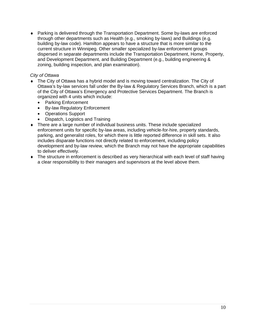♦ Parking is delivered through the Transportation Department. Some by-laws are enforced through other departments such as Health (e.g., smoking by-laws) and Buildings (e.g. building by-law code). Hamilton appears to have a structure that is more similar to the current structure in Winnipeg. Other smaller specialized by-law enforcement groups dispersed in separate departments include the Transportation Department, Home, Property, and Development Department, and Building Department (e.g., building engineering & zoning, building inspection, and plan examination).

#### *City of Ottawa*

- ♦ The City of Ottawa has a hybrid model and is moving toward centralization. The City of Ottawa's by-law services fall under the By-law & Regulatory Services Branch, which is a part of the City of Ottawa's Emergency and Protective Services Department. The Branch is organized with 4 units which include:
	- Parking Enforcement
	- By-law Regulatory Enforcement
	- Operations Support
	- Dispatch, Logistics and Training
- ♦ There are a large number of individual business units. These include specialized enforcement units for specific by-law areas, including vehicle-for-hire, property standards, parking, and generalist roles, for which there is little reported difference in skill sets. It also includes disparate functions not directly related to enforcement, including policy development and by-law review, which the Branch may not have the appropriate capabilities to deliver effectively.
- ♦ The structure in enforcement is described as very hierarchical with each level of staff having a clear responsibility to their managers and supervisors at the level above them.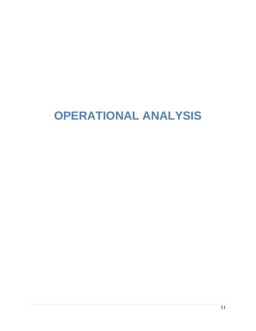# **OPERATIONAL ANALYSIS**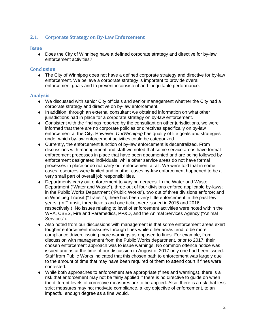#### **2.1. Corporate Strategy on By-Law Enforcement**

#### **Issue**

• Does the City of Winnipeg have a defined corporate strategy and directive for by-law enforcement activities?

#### **Conclusion**

• The City of Winnipeg does not have a defined corporate strategy and directive for by-law enforcement. We believe a corporate strategy is important to provide overall enforcement goals and to prevent inconsistent and inequitable performance.

#### **Analysis**

- $\bullet$  We discussed with senior City officials and senior management whether the City had a corporate strategy and directive on by-law enforcement.
- ♦ In addition, through an external consultant we obtained information on what other jurisdictions had in place for a corporate strategy on by-law enforcement.
- ♦ Consistent with the findings reported by the consultant on other jurisdictions, we were informed that there are no corporate policies or directives specifically on by-law enforcement at the City. However, *OurWinnipeg* has quality of life goals and strategies under which by-law enforcement activities could be categorized.
- ♦ Currently, the enforcement function of by-law enforcement is decentralized. From discussions with management and staff we noted that some service areas have formal enforcement processes in place that have been documented and are being followed by enforcement designated individuals, while other service areas do not have formal processes in place or do not carry out enforcement at all. We were told that in some cases resources were limited and in other cases by-law enforcement happened to be a very small part of overall job responsibilities.
- ♦ Departments carry out enforcement to varying degrees. In the Water and Waste Department ("Water and Waste"), three out of four divisions enforce applicable by-laws; in the Public Works Department ("Public Works"), two out of three divisions enforce; and in Winnipeg Transit ("Transit"), there has been very little enforcement in the past few years. (In Transit, three tickets and one ticket were issued in 2015 and 2016 respectively.) No issues relating to level of enforcement activities were noted within the WPA, CBES, Fire and Paramedics, PP&D, and the Animal Services Agency ("Animal Services").
- ♦ Also noted from our discussions with management is that some enforcement areas exert tougher enforcement measures through fines while other areas tend to be more compliance driven, issuing more warnings as opposed to fines. For example, from discussion with management from the Public Works department, prior to 2017, their chosen enforcement approach was to issue warnings. No common offence notice was issued and as at the time of our discussion in August of 2017 only one had been issued. Staff from Public Works indicated that this chosen path to enforcement was largely due to the amount of time that may have been required of them to attend court if fines were contested.
- $\bullet$  While both approaches to enforcement are appropriate (fines and warnings), there is a risk that enforcement may not be fairly applied if there is no directive to guide on when the different levels of corrective measures are to be applied. Also, there is a risk that less strict measures may not motivate compliance, a key objective of enforcement, to an impactful enough degree as a fine would.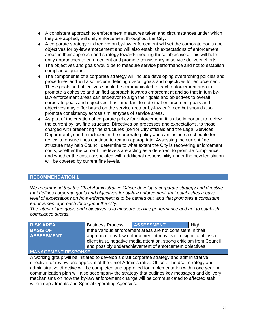- ♦ A consistent approach to enforcement measures taken and circumstances under which they are applied, will unify enforcement throughout the City.
- ♦ A corporate strategy or directive on by-law enforcement will set the corporate goals and objectives for by-law enforcement and will also establish expectations of enforcement areas in their approach and strategy towards meeting those objectives. This will help unify approaches to enforcement and promote consistency in service delivery efforts.
- The objectives and goals would be to measure service performance and not to establish compliance quotas.
- ♦ The components of a corporate strategy will include developing overarching policies and procedures and will also include defining overall goals and objectives for enforcement. These goals and objectives should be communicated to each enforcement area to promote a cohesive and unified approach towards enforcement and so that in turn bylaw enforcement areas can endeavor to align their goals and objectives to overall corporate goals and objectives. It is important to note that enforcement goals and objectives may differ based on the service area or by-law enforced but should also promote consistency across similar types of service areas.
- ♦ As part of the creation of corporate policy for enforcement, it is also important to review the current by law fine structure. Directives on processes and expectations, to those charged with presenting fine structures (senior City officials and the Legal Services Department), can be included in the corporate policy and can include a schedule for review to ensure fines continue to remain appropriate. Assessing the current fine structure may help Council determine to what extent the City is recovering enforcement costs; whether the current fine levels are acting as a deterrent to promote compliance; and whether the costs associated with additional responsibility under the new legislation will be covered by current fine levels.

#### **RECOMMENDATION 1**

*We recommend that the Chief Administrative Officer develop a corporate strategy and directive that defines corporate goals and objectives for by-law enforcement, that establishes a base level of expectations on how enforcement is to be carried out, and that promotes a consistent enforcement approach throughout the City.* 

*The intent of the goals and objectives is to measure service performance and not to establish compliance quotas.* 

| <b>ASSESSMENT</b><br><b>Business Process</b><br>High<br><b>RISK AREA</b>                          |                                                                       |  |  |  |  |
|---------------------------------------------------------------------------------------------------|-----------------------------------------------------------------------|--|--|--|--|
| <b>BASIS OF</b>                                                                                   | If the various enforcement areas are not consistent in their          |  |  |  |  |
| <b>ASSESSMENT</b>                                                                                 | approach to by-law enforcement, it may lead to significant loss of    |  |  |  |  |
|                                                                                                   | client trust, negative media attention, strong criticism from Council |  |  |  |  |
|                                                                                                   | and possibly underachievement of enforcement objectives               |  |  |  |  |
| <b>MANAGEMENT RESPONSE</b>                                                                        |                                                                       |  |  |  |  |
| evitertainimbe has vapored at expanse that conducts at the distribution of the nuove paister of a |                                                                       |  |  |  |  |

A working group will be initiated to develop a draft corporate strategy and administrative directive for review and approval of the Chief Administrative Officer. The draft strategy and administrative directive will be completed and approved for implementation within one year. A communication plan will also accompany the strategy that outlines key messages and delivery mechanisms on how the by-law enforcement change will be communicated to affected staff within departments and Special Operating Agencies.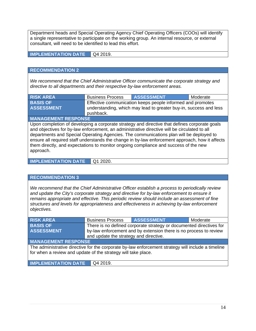Department heads and Special Operating Agency Chief Operating Officers (COOs) will identify a single representative to participate on the working group. An internal resource, or external consultant, will need to be identified to lead this effort.

**IMPLEMENTATION DATE** Q4 2019.

#### **RECOMMENDATION 2**

*We recommend that the Chief Administrative Officer communicate the corporate strategy and directive to all departments and their respective by-law enforcement areas.*

| <b>BASIS OF</b><br>Effective communication keeps people informed and promotes<br><b>ASSESSMENT</b><br>understanding, which may lead to greater buy-in, success and less | <b>RISK AREA</b> | <b>Business Process</b> | <b>ASSESSMENT</b> | Moderate |
|-------------------------------------------------------------------------------------------------------------------------------------------------------------------------|------------------|-------------------------|-------------------|----------|
|                                                                                                                                                                         |                  |                         |                   |          |
|                                                                                                                                                                         |                  | pushback.               |                   |          |

#### **MANAGEMENT RESPONSE**

Upon completion of developing a corporate strategy and directive that defines corporate goals and objectives for by-law enforcement, an administrative directive will be circulated to all departments and Special Operating Agencies. The communications plan will be deployed to ensure all required staff understands the change in by-law enforcement approach, how it affects them directly, and expectations to monitor ongoing compliance and success of the new approach.

**IMPLEMENTATION DATE** Q1 2020.

#### **RECOMMENDATION 3**

*We recommend that the Chief Administrative Officer establish a process to periodically review and update the City's corporate strategy and directive for by-law enforcement to ensure it remains appropriate and effective. This periodic review should include an assessment of fine structures and levels for appropriateness and effectiveness in achieving by-law enforcement objectives.* 

| <b>RISK AREA</b>                                                                                   | <b>Business Process</b>                | <b>ASSESSMENT</b>                                                   | Moderate |
|----------------------------------------------------------------------------------------------------|----------------------------------------|---------------------------------------------------------------------|----------|
| <b>BASIS OF</b>                                                                                    |                                        | There is no defined corporate strategy or documented directives for |          |
| <b>ASSESSMENT</b>                                                                                  |                                        | by-law enforcement and by extension there is no process to review   |          |
|                                                                                                    | and update the strategy and directive. |                                                                     |          |
| <b>MANAGEMENT RESPONSE</b>                                                                         |                                        |                                                                     |          |
| The administrative directive for the corporate by-law enforcement strategy will include a timeline |                                        |                                                                     |          |
| for when a review and update of the strategy will take place.                                      |                                        |                                                                     |          |
|                                                                                                    |                                        |                                                                     |          |
| <b>IMPLEMENTATION DATE</b>                                                                         | Q4 2019.                               |                                                                     |          |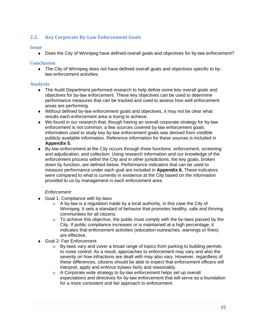#### **2.2. Key Corporate By-Law Enforcement Goals**

#### **Issue**

• Does the City of Winnipeg have defined overall goals and objectives for by-law enforcement?

#### **Conclusion**

♦ The City of Winnipeg does not have defined overall goals and objectives specific to bylaw enforcement activities.

#### **Analysis**

- ♦ The Audit Department performed research to help define some key overall goals and objectives for by-law enforcement. These key objectives can be used to determine performance measures that can be tracked and used to assess how well enforcement areas are performing.
- ♦ Without defined by-law enforcement goals and objectives, it may not be clear what results each enforcement area is trying to achieve.
- ♦ We found in our research that, though having an overall corporate strategy for by-law enforcement is not common, a few sources covered by-law enforcement goals. Information used to study key by-law enforcement goals was derived from credible publicly available information. Reference information for these sources is included in **Appendix 5.**
- ♦ By-law enforcement at the City occurs through three functions: enforcement, screening and adjudication, and collection. Using research information and our knowledge of the enforcement process within the City and in other jurisdictions, the key goals, broken down by function, are defined below. Performance indicators that can be used to measure performance under each goal are included in **Appendix 6.** These indicators were compared to what is currently in existence at the City based on the information provided to us by management in each enforcement area.

#### *Enforcement*

- ♦ Goal 1: Compliance with by-laws
	- o A by-law is a regulation made by a local authority, in this case the City of Winnipeg. It sets a standard of behavior that promotes healthy, safe and thriving communities for all citizens.
	- $\circ$  To achieve this objective, the public must comply with the by-laws passed by the City. If public compliance increases or is maintained at a high percentage, it indicates that enforcement activities (education outreaches, warnings or fines) are effective.
- ◆ Goal 2: Fair Enforcement
	- $\circ$  By-laws vary and cover a broad range of topics from parking to building permits to noise control. As a result, approaches to enforcement may vary and also the severity on how infractions are dealt with may also vary. However, regardless of these differences, citizens should be able to expect that enforcement officers will interpret, apply and enforce bylaws fairly and reasonably.
	- o A Corporate wide strategy to by-law enforcement helps set up overall expectations and directives for by-law enforcement that will serve as a foundation for a more consistent and fair approach to enforcement.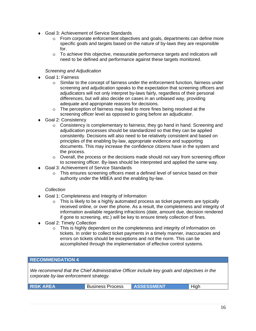- ♦ Goal 3: Achievement of Service Standards
	- o From corporate enforcement objectives and goals, departments can define more specific goals and targets based on the nature of by-laws they are responsible for.
	- o To achieve this objective, measurable performance targets and indicators will need to be defined and performance against these targets monitored.

#### *Screening and Adjudication*

- ♦ Goal 1: Fairness
	- $\circ$  Similar to the concept of fairness under the enforcement function, fairness under screening and adjudication speaks to the expectation that screening officers and adjudicators will not only interpret by-laws fairly, regardless of their personal differences, but will also decide on cases in an unbiased way, providing adequate and appropriate reasons for decisions.
	- o The perception of fairness may lead to more fines being resolved at the screening officer level as opposed to going before an adjudicator.
- Goal 2: Consistency
	- o Consistency is complementary to fairness; they go hand in hand. Screening and adjudication processes should be standardized so that they can be applied consistently. Decisions will also need to be relatively consistent and based on principles of the enabling by-law, appropriate evidence and supporting documents. This may increase the confidence citizens have in the system and the process.
	- $\circ$  Overall, the process or the decisions made should not vary from screening officer to screening officer. By-laws should be interpreted and applied the same way.
- ♦ Goal 3: Achievement of Service Standards
	- o This ensures screening officers meet a defined level of service based on their authority under the MBEA and the enabling by-law.

#### *Collection*

- ♦ Goal 1: Completeness and Integrity of Information
	- $\circ$  This is likely to be a highly automated process as ticket payments are typically received online, or over the phone. As a result, the completeness and integrity of information available regarding infractions (date, amount due, decision rendered if gone to screening, etc.) will be key to ensure timely collection of fines.
- ♦ Goal 2: Timely Collection
	- o This is highly dependent on the completeness and integrity of information on tickets. In order to collect ticket payments in a timely manner, inaccuracies and errors on tickets should be exceptions and not the norm. This can be accomplished through the implementation of effective control systems.

#### **RECOMMENDATION 4**

*We recommend that the Chief Administrative Officer include key goals and objectives in the corporate by-law enforcement strategy.* 

| <b>Business Process</b><br><b>ASSESSMENT</b><br>High<br><b>RISK AREA</b> |
|--------------------------------------------------------------------------|
|--------------------------------------------------------------------------|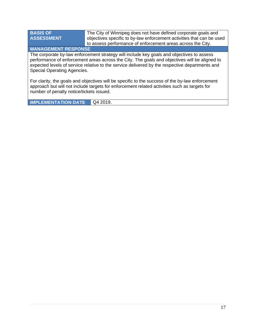**BASIS OF ASSESSMENT** 

The City of Winnipeg does not have defined corporate goals and objectives specific to by-law enforcement activities that can be used to assess performance of enforcement areas across the City.

**MANAGEMENT RESPONSE** 

The corporate by-law enforcement strategy will include key goals and objectives to assess performance of enforcement areas across the City. The goals and objectives will be aligned to expected levels of service relative to the service delivered by the respective departments and Special Operating Agencies.

For clarity, the goals and objectives will be specific to the success of the by-law enforcement approach but will not include targets for enforcement related activities such as targets for number of penalty notice/tickets issued.

**IMPLEMENTATION DATE** Q4 2019.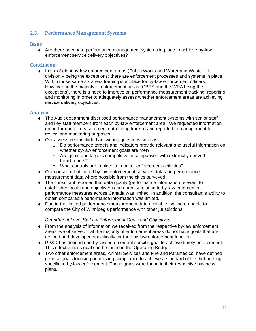#### **2.3. Performance Management Systems**

#### **Issue**

♦ Are there adequate performance management systems in place to achieve by-law enforcement service delivery objectives?

#### **Conclusion**

 $\bullet$  In six of eight by-law enforcement areas (Public Works and Water and Waste – 1 division – being the exceptions) there are enforcement processes and systems in place. Within those same six areas training is in place for by-law enforcement officers. However, in the majority of enforcement areas (CBES and the WPA being the exceptions), there is a need to improve on performance measurement tracking, reporting and monitoring in order to adequately assess whether enforcement areas are achieving service delivery objectives.

#### **Analysis**

- ♦ The Audit department discussed performance management systems with senior staff and key staff members from each by-law enforcement area. We requested information on performance measurement data being tracked and reported to management for review and monitoring purposes.
- ♦ Our assessment included answering questions such as:
	- o Do performance targets and indicators provide relevant and useful information on whether by-law enforcement goals are met?
	- o Are goals and targets competitive in comparison with externally derived benchmarks?
	- o What controls are in place to monitor enforcement activities?
- ♦ Our consultant obtained by-law enforcement services data and performance measurement data where possible from the cities surveyed.
- ♦ The consultant reported that data quality (performance information relevant to established goals and objectives) and quantity relating to by-law enforcement performance measures across Canada was limited. In addition, the consultant's ability to obtain comparable performance information was limited.
- ♦ Due to the limited performance measurement data available, we were unable to compare the City of Winnipeg's performance with other jurisdictions.

#### *Department Level By-Law Enforcement Goals and Objectives*

- ♦ From the analysis of information we received from the respective by-law enforcement areas, we observed that the majority of enforcement areas do not have goals that are defined and developed specifically for their by-law enforcement function.
- ♦ PP&D has defined one by-law enforcement specific goal to achieve timely enforcement. This effectiveness goal can be found in the Operating Budget.
- ♦ Two other enforcement areas, Animal Services and Fire and Paramedics, have defined general goals focusing on utilizing compliance to achieve a standard of life, but nothing specific to by-law enforcement. These goals were found in their respective business plans.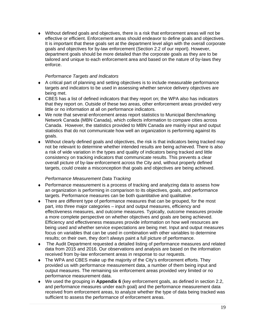$\bullet$  Without defined goals and objectives, there is a risk that enforcement areas will not be effective or efficient. Enforcement areas should endeavor to define goals and objectives. It is important that these goals set at the department level align with the overall corporate goals and objectives for by-law enforcement (Section 2.2 of our report). However, department goals should be more detailed than the corporate goals as they are to be tailored and unique to each enforcement area and based on the nature of by-laws they enforce.

#### *Performance Targets and Indicators*

- ♦ A critical part of planning and setting objectives is to include measurable performance targets and indicators to be used in assessing whether service delivery objectives are being met.
- ♦ CBES has a list of defined indicators that they report on; the WPA also has indicators that they report on. Outside of these two areas, other enforcement areas provided very little or no information at all on performance indicators.
- ♦ We note that several enforcement areas report statistics to Municipal Benchmarking Network Canada (MBN Canada), which collects information to compare cities across Canada. However, the statistics provided to MBN Canada are mainly input and output statistics that do not communicate how well an organization is performing against its goals.
- $\bullet$  Without clearly defined goals and objectives, the risk is that indicators being tracked may not be relevant to determine whether intended results are being achieved. There is also a risk of wide variation in the types and quality of indicators being tracked and little consistency on tracking indicators that communicate results. This prevents a clear overall picture of by-law enforcement across the City and, without properly defined targets, could create a misconception that goals and objectives are being achieved.

#### *Performance Measurement Data Tracking*

- $\bullet$  Performance measurement is a process of tracking and analyzing data to assess how an organization is performing in comparison to its objectives, goals, and performance targets. Performance measures can be both quantitative and qualitative.
- ♦ There are different type of performance measures that can be grouped, for the most part, into three major categories – input and output measures, efficiency and effectiveness measures, and outcome measures. Typically, outcome measures provide a more complete perspective on whether objectives and goals are being achieved. Efficiency and effectiveness measures provide information on how well resources are being used and whether service expectations are being met. Input and output measures focus on variables that can be used in combination with other variables to determine results; on their own, they don't always paint a full picture of performance.
- ♦ The Audit Department requested a detailed listing of performance measures and related data from 2015 and 2016. Our observations and analysis are based on the information received from by-law enforcement areas in response to our requests.
- ♦ The WPA and CBES make up the majority of the City's enforcement efforts. They provided us with performance measurement data, a number of them being input and output measures. The remaining six enforcement areas provided very limited or no performance measurement data.
- ♦ We used the grouping in **Appendix 6** (key enforcement goals, as defined in section 2.2, and performance measures under each goal) and the performance measurement data received from enforcement areas, to analyze whether the type of data being tracked was sufficient to assess the performance of enforcement areas.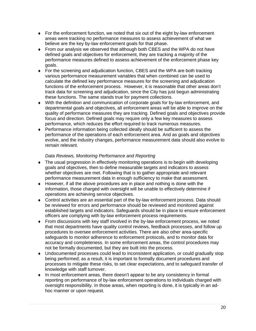- ♦ For the enforcement function, we noted that six out of the eight by-law enforcement areas were tracking no performance measures to assess achievement of what we believe are the key by-law enforcement goals for that phase.
- $\bullet$  From our analysis we observed that although both CBES and the WPA do not have defined goals and objectives for enforcement, they are tracking a majority of the performance measures defined to assess achievement of the enforcement phase key goals.
- ♦ For the screening and adjudication function, CBES and the WPA are both tracking various performance measurement variables that when combined can be used to calculate the defined key performance measures for the screening and adjudication functions of the enforcement process. However, it is reasonable that other areas don't track data for screening and adjudication, since the City has just begun administrating these functions. The same stands true for payment collections.
- ♦ With the definition and communication of corporate goals for by-law enforcement, and departmental goals and objectives, all enforcement areas will be able to improve on the quality of performance measures they are tracking. Defined goals and objectives provide focus and direction. Defined goals may require only a few key measures to assess performance, which reduces the effort required to track numerous measures.
- ♦ Performance information being collected ideally should be sufficient to assess the performance of the operations of each enforcement area. And as goals and objectives evolve, and the industry changes, performance measurement data should also evolve to remain relevant.

#### *Data Reviews, Monitoring Performance and Reporting*

- ♦ The usual progression in effectively monitoring operations is to begin with developing goals and objectives, then to define measurable targets and indicators to assess whether objectives are met. Following that is to gather appropriate and relevant performance measurement data in enough sufficiency to make that assessment.
- ♦ However, if all the above procedures are in place and nothing is done with the information, those charged with oversight will be unable to effectively determine if operations are achieving service objectives.
- ♦ Control activities are an essential part of the by-law enforcement process. Data should be reviewed for errors and performance should be reviewed and monitored against established targets and indicators. Safeguards should be in place to ensure enforcement officers are complying with by-law enforcement process requirements.
- ♦ From discussions with key staff involved in the by-law enforcement process, we noted that most departments have quality control reviews, feedback processes, and follow up procedures to oversee enforcement activities. There are also other area-specific safeguards to monitor adherence to enforcement protocols, and to monitor data for accuracy and completeness. In some enforcement areas, the control procedures may not be formally documented, but they are built into the process.
- ♦ Undocumented processes could lead to inconsistent application, or could gradually stop being performed; as a result, it is important to formally document procedures and processes to mitigate these risks, to set clear expectations, and to safeguard transfer of knowledge with staff turnover.
- ♦ In most enforcement areas, there doesn't appear to be any consistency in formal reporting on performance of by-law enforcement operations to individuals charged with oversight responsibility. In those areas, when reporting is done, it is typically in an adhoc manner or upon request.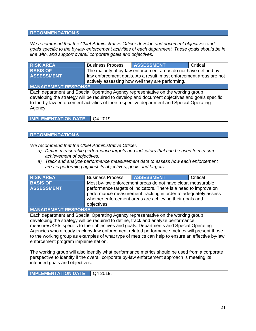#### **RECOMMENDATION 5**

*We recommend that the Chief Administrative Officer develop and document objectives and goals specific to the by-law enforcement activities of each department. These goals should be in line with, and support overall corporate goals and objectives.* 

| <b>RISK AREA</b>                                                                                                                                                                                                                                                                           | <b>Business Process</b> | <b>ASSESSMENT</b>                                                  | Critical |  |
|--------------------------------------------------------------------------------------------------------------------------------------------------------------------------------------------------------------------------------------------------------------------------------------------|-------------------------|--------------------------------------------------------------------|----------|--|
| <b>BASIS OF</b>                                                                                                                                                                                                                                                                            |                         | The majority of by-law enforcement areas do not have defined by-   |          |  |
| <b>ASSESSMENT</b>                                                                                                                                                                                                                                                                          |                         | law enforcement goals. As a result, most enforcement areas are not |          |  |
|                                                                                                                                                                                                                                                                                            |                         | actively assessing how well they are performing.                   |          |  |
| <b>MANAGEMENT RESPONSE</b>                                                                                                                                                                                                                                                                 |                         |                                                                    |          |  |
| Each department and Special Operating Agency representative on the working group<br>developing the strategy will be required to develop and document objectives and goals specific<br>to the by-law enforcement activities of their respective department and Special Operating<br>Agency. |                         |                                                                    |          |  |
|                                                                                                                                                                                                                                                                                            | ------                  |                                                                    |          |  |

**IMPLEMENTATION DATE** | Q4 2019.

#### **RECOMMENDATION 6**

*We recommend that the Chief Administrative Officer:* 

- *a) Define measurable performance targets and indicators that can be used to measure achievement of objectives.*
- *a) Track and analyze performance measurement data to assess how each enforcement area is performing against its objectives, goals and targets.*

| <b>RISK AREA</b>  | <b>Business Process</b> | <b>ASSESSMENT</b>                                                                                                                                                                             | Critical |
|-------------------|-------------------------|-----------------------------------------------------------------------------------------------------------------------------------------------------------------------------------------------|----------|
| <b>BASIS OF</b>   |                         | Most by-law enforcement areas do not have clear, measurable                                                                                                                                   |          |
| <b>ASSESSMENT</b> |                         | performance targets of indicators. There is a need to improve on<br>performance measurement tracking in order to adequately assess<br>whether enforcement areas are achieving their goals and |          |
|                   | objectives.             |                                                                                                                                                                                               |          |

**MANAGEMENT RESPONSE** 

Each department and Special Operating Agency representative on the working group developing the strategy will be required to define, track and analyze performance measures/KPIs specific to their objectives and goals. Departments and Special Operating Agencies who already track by-law enforcement related performance metrics will present those to the working group as examples of what type of metrics can help to ensure an effective by-law enforcement program implementation.

The working group will also identify what performance metrics should be used from a corporate perspective to identify if the overall corporate by-law enforcement approach is meeting its intended goals and objectives.

**IMPLEMENTATION DATE** Q4 2019.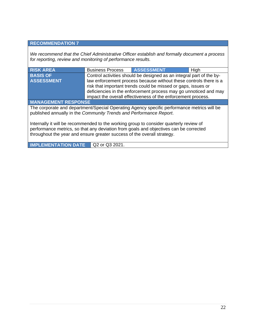#### **RECOMMENDATION 7**

*We recommend that the Chief Administrative Officer establish and formally document a process for reporting, review and monitoring of performance results.* 

| <b>RISK AREA</b>                                                                                                                                                                                                                                           | <b>Business Process</b>                                                                                                                                                                                                                                                | <b>ASSESSMENT</b>                                                    | High |  |
|------------------------------------------------------------------------------------------------------------------------------------------------------------------------------------------------------------------------------------------------------------|------------------------------------------------------------------------------------------------------------------------------------------------------------------------------------------------------------------------------------------------------------------------|----------------------------------------------------------------------|------|--|
| <b>BASIS OF</b>                                                                                                                                                                                                                                            |                                                                                                                                                                                                                                                                        | Control activities should be designed as an integral part of the by- |      |  |
| <b>ASSESSMENT</b>                                                                                                                                                                                                                                          | law enforcement process because without these controls there is a<br>risk that important trends could be missed or gaps, issues or<br>deficiencies in the enforcement process may go unnoticed and may<br>impact the overall effectiveness of the enforcement process. |                                                                      |      |  |
| <b>MANAGEMENT RESPONSE</b>                                                                                                                                                                                                                                 |                                                                                                                                                                                                                                                                        |                                                                      |      |  |
| The corporate and department/Special Operating Agency specific performance metrics will be<br>published annually in the Community Trends and Performance Report.                                                                                           |                                                                                                                                                                                                                                                                        |                                                                      |      |  |
| Internally it will be recommended to the working group to consider quarterly review of<br>performance metrics, so that any deviation from goals and objectives can be corrected<br>throughout the year and ensure greater success of the overall strategy. |                                                                                                                                                                                                                                                                        |                                                                      |      |  |

**IMPLEMENTATION DATE** Q2 or Q3 2021.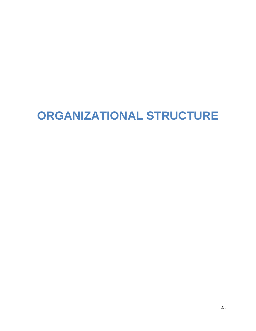# **ORGANIZATIONAL STRUCTURE**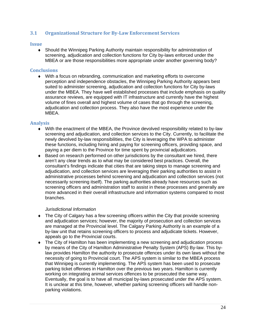#### **3.1 Organizational Structure for By-Law Enforcement Services**

#### **Issue**

♦ Should the Winnipeg Parking Authority maintain responsibility for administration of screening, adjudication and collection functions for City by-laws enforced under the MBEA or are those responsibilities more appropriate under another governing body?

#### **Conclusions**

♦ With a focus on rebranding, communication and marketing efforts to overcome perception and independence obstacles, the Winnipeg Parking Authority appears best suited to administer screening, adjudication and collection functions for City by-laws under the MBEA. They have well established processes that include emphasis on quality assurance reviews, are equipped with IT infrastructure and currently have the highest volume of fines overall and highest volume of cases that go through the screening, adjudication and collection process. They also have the most experience under the MBEA.

#### **Analysis**

- ♦ With the enactment of the MBEA, the Province devolved responsibility related to by-law screening and adjudication, and collection services to the City. Currently, to facilitate the newly devolved by-law responsibilities, the City is leveraging the WPA to administer these functions, including hiring and paying for screening officers, providing space, and paying a per diem to the Province for time spent by provincial adjudicators.
- $\bullet$  Based on research performed on other jurisdictions by the consultant we hired, there aren't any clear trends as to what may be considered best practices. Overall, the consultant's findings indicate that cities that are taking steps to manage screening and adjudication, and collection services are leveraging their parking authorities to assist in administrative processes behind screening and adjudication and collection services (not necessarily screening itself). The parking authorities already have resources such as screening officers and administration staff to assist in these processes and generally are more advanced in their overall infrastructure and information systems compared to most branches.

#### *Jurisdictional Information*

- The City of Calgary has a few screening officers within the City that provide screening and adjudication services; however, the majority of prosecution and collection services are managed at the Provincial level. The Calgary Parking Authority is an example of a by-law unit that retains screening officers to process and adjudicate tickets. However, appeals go to the Provincial courts.
- The City of Hamilton has been implementing a new screening and adjudication process by means of the City of Hamilton Administrative Penalty System (APS) By-law. This bylaw provides Hamilton the authority to prosecute offences under its own laws without the necessity of going to Provincial court. The APS system is similar to the MBEA process that Winnipeg is currently implementing. The APS system has been used to prosecute parking ticket offenses in Hamilton over the previous two years. Hamilton is currently working on integrating animal services offences to be prosecuted the same way. Eventually, the goal is to have all municipal by-laws prosecuted under the APS system. It is unclear at this time, however, whether parking screening officers will handle nonparking violations.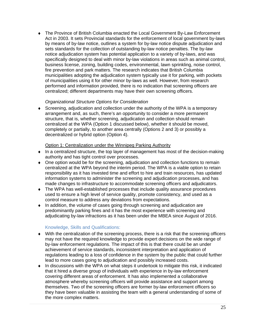♦ The Province of British Columbia enacted the Local Government By-Law Enforcement Act in 2003. It sets Provincial standards for the enforcement of local government by-laws by means of by-law notice, outlines a system for by-law notice dispute adjudication and sets standards for the collection of outstanding by-law notice penalties. The by-law notice adjudication system has potential application to a variety of by-laws, and was specifically designed to deal with minor by-law violations in areas such as animal control, business license, zoning, building codes, environmental, lawn sprinkling, noise control, fire prevention and park matters. The research indicates that British Columbia municipalities adopting the adjudication system typically use it for parking, with pockets of municipalities using it for other minor by-laws as well. However, from research performed and information provided, there is no indication that screening officers are centralized; different departments may have their own screening officers.

#### *Organizational Structure Options for Consideration*

♦ Screening, adjudication and collection under the authority of the WPA is a temporary arrangement and, as such, there's an opportunity to consider a more permanent structure, that is, whether screening, adjudication and collection should remain centralized at the WPA (Option 1 discussed below), whether it should be moved, completely or partially, to another area centrally (Options 2 and 3) or possibly a decentralized or hybrid option (Option 4).

#### Option 1: Centralization under the Winnipeg Parking Authority

- ♦ In a centralized structure, the top layer of management has most of the decision-making authority and has tight control over processes.
- ♦ One option would be for the screening, adjudication and collection functions to remain centralized at the WPA beyond the interim period. The WPA is a viable option to retain responsibility as it has invested time and effort to hire and train resources, has updated information systems to administer the screening and adjudication processes, and has made changes to infrastructure to accommodate screening officers and adjudicators.
- ♦ The WPA has well-established processes that include quality assurance procedures used to ensure a high level of service quality, promote consistency, and used as a control measure to address any deviations from expectations.
- ♦ In addition, the volume of cases going through screening and adjudication are predominantly parking fines and it has the most experience with screening and adjudicating by-law infractions as it has been under the MBEA since August of 2016.

#### Knowledge, Skills and Qualifications:

- ♦ With the centralization of the screening process, there is a risk that the screening officers may not have the required knowledge to provide expert decisions on the wide range of by-law enforcement regulations. The impact of this is that there could be an under achievement of service standards, inconsistent interpretation and application of regulations leading to a loss of confidence in the system by the public that could further lead to more cases going to adjudication and possibly increased costs.
- ♦ In discussions with the WPA on what steps it undertook to mitigate this risk, it indicated that it hired a diverse group of individuals with experience in by-law enforcement covering different areas of enforcement. It has also implemented a collaborative atmosphere whereby screening officers will provide assistance and support among themselves. Two of the screening officers are former by-law enforcement officers so they have been valuable in assisting the team with a general understanding of some of the more complex matters.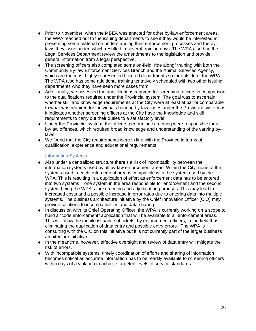- ♦ Prior to November, when the MBEA was enacted for other by-law enforcement areas, the WPA reached out to the issuing departments to see if they would be interested in presenting some material on understanding their enforcement processes and the bylaws they issue under, which resulted in several training days. The WPA also had the Legal Services Department review the amendments to the legislation and provide general information from a legal perspective.
- ♦ The screening officers also completed some on-field "ride along" training with both the Community By-law Enforcement Services Branch and the Animal Services Agency, which are the most highly represented ticketed departments so far outside of the WPA. The WPA also has some additional training tentatively scheduled with two other issuing departments who they have seen more cases from.
- ♦ Additionally, we assessed the qualifications required for screening officers in comparison to the qualifications required under the Provincial system. The goal was to ascertain whether skill and knowledge requirements at the City were at least at par or comparable to what was required for individuals hearing by-law cases under the Provincial system as it indicates whether screening officers at the City have the knowledge and skill requirements to carry out their duties to a satisfactory level.
- ♦ Under the Provincial system, the officers performing screening were responsible for all by-law offences, which required broad knowledge and understanding of the varying bylaws.
- ♦ We found that the City requirements were in line with the Province in terms of qualification, experience and educational requirements.

#### Information Systems:

- ♦ Also under a centralized structure there's a risk of incompatibility between the information systems used by all by-law enforcement areas. Within the City, none of the systems used in each enforcement area is compatible with the system used by the WPA. This is resulting in a duplication of effort as enforcement data has to be entered into two systems – one system in the area responsible for enforcement and the second system being the WPA's for screening and adjudication purposes. This may lead to increased costs and a possible increase in error rates due to entering data into multiple systems. The business architecture initiative by the Chief Innovation Officer (CIO) may provide solutions to incompatibilities and data sharing.
- ♦ In discussion with its Chief Operating Officer, the WPA is currently working on a scope to build a "code enforcement" application that will be available to all enforcement areas. This will allow the mobile issuance of tickets, by enforcement officers, in the field thus eliminating the duplication of data entry and possible entry errors. The WPA is consulting with the CIO on this initiative but it is not currently part of the larger business architecture initiative.
- ♦ In the meantime, however, effective oversight and review of data entry will mitigate the risk of errors.
- ♦ With incompatible systems, timely coordination of efforts and sharing of information becomes critical as accurate information has to be readily available to screening officers within days of a violation to achieve targeted levels of service standards.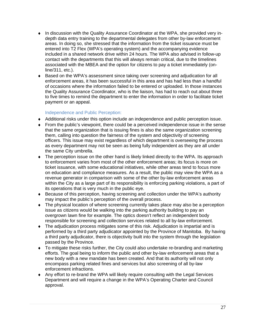- ♦ In discussion with the Quality Assurance Coordinator at the WPA, she provided very indepth data entry training to the departmental delegates from other by-law enforcement areas. In doing so, she stressed that the information from the ticket issuance must be entered into T2 Flex (WPA's operating system) and the accompanying evidence included in a shared network drive within 24 hours. The WPA also advised in follow-up contact with the departments that this will always remain critical, due to the timelines associated with the MBEA and the option for citizens to pay a ticket immediately (online/311, etc.).
- ♦ Based on the WPA's assessment since taking over screening and adjudication for all enforcement areas, it has been successful in this area and has had less than a handful of occasions where the information failed to be entered or uploaded. In those instances the Quality Assurance Coordinator, who is the liaison, has had to reach out about three to five times to remind the department to enter the information in order to facilitate ticket payment or an appeal.

#### Independence and Public Perception:

- ♦ Additional risks under this option include an independence and public perception issue.
- $\bullet$  From the public's viewpoint, there could be a perceived independence issue in the sense that the same organization that is issuing fines is also the same organization screening them, calling into question the fairness of the system and objectivity of screening officers. This issue may exist regardless of which department is overseeing the process as every department may not be seen as being fully independent as they are all under the same City umbrella.
- ♦ The perception issue on the other hand is likely linked directly to the WPA. Its approach to enforcement varies from most of the other enforcement areas; its focus is more on ticket issuance, with some educational initiatives, while other areas tend to focus more on education and compliance measures. As a result, the public may view the WPA as a revenue generator in comparison with some of the other by-law enforcement areas within the City as a large part of its responsibility is enforcing parking violations, a part of its operations that is very much in the public eye.
- ♦ Because of this perception, having screening and collection under the WPA's authority may impact the public's perception of the overall process.
- ♦ The physical location of where screening currently takes place may also be a perception issue as citizens would be walking into the parking authority building to pay an overgrown lawn fine for example. The optics doesn't reflect an independent body responsible for screening and collection services related to all by-law enforcement.
- ♦ The adjudication process mitigates some of this risk. Adjudication is impartial and is performed by a third party adjudicator appointed by the Province of Manitoba. By having a third party adjudicator, there is objectivity built into the system through the legislation passed by the Province.
- ♦ To mitigate these risks further, the City could also undertake re-branding and marketing efforts. The goal being to inform the public and other by-law enforcement areas that a new body with a new mandate has been created. And that its authority will not only encompass parking related fines and services but also screening of all by-law enforcement infractions.
- ♦ Any effort to re-brand the WPA will likely require consulting with the Legal Services Department and will require a change in the WPA's Operating Charter and Council approval.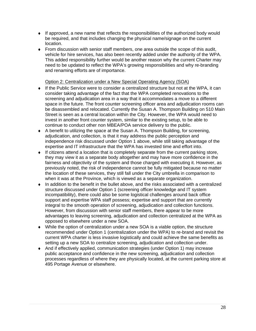- $\bullet$  If approved, a new name that reflects the responsibilities of the authorized body would be required, and that includes changing the physical name/signage on the current location.
- ♦ From discussion with senior staff members, one area outside the scope of this audit, vehicle for hire services, has also been recently added under the authority of the WPA. This added responsibility further would be another reason why the current Charter may need to be updated to reflect the WPA's growing responsibilities and why re-branding and renaming efforts are of importance.

#### Option 2: Centralization under a New Special Operating Agency (SOA)

- $\bullet$  If the Public Service were to consider a centralized structure but not at the WPA, it can consider taking advantage of the fact that the WPA completed renovations to the screening and adjudication area in a way that it accommodates a move to a different space in the future. The front counter screening officer area and adjudication rooms can be disassembled and relocated. Currently the Susan A. Thompson Building on 510 Main Street is seen as a central location within the City. However, the WPA would need to invest in another front counter system, similar to the existing setup, to be able to continue to conduct other non MBEA/POA service delivery to the public.
- ♦ A benefit to utilizing the space at the Susan A. Thompson Building, for screening, adjudication, and collection, is that it may address the public perception and independence risk discussed under Option 1 above, while still taking advantage of the expertise and IT infrastructure that the WPA has invested time and effort into.
- $\bullet$  If citizens attend a location that is completely separate from the current parking store, they may view it as a separate body altogether and may have more confidence in the fairness and objectivity of the system and those charged with executing it. However, as previously noted, the risk of independence cannot be fully mitigated because no matter the location of these services, they still fall under the City umbrella in comparison to when it was at the Province, which is viewed as a separate organization.
- ♦ In addition to the benefit in the bullet above, and the risks associated with a centralized structure discussed under Option 1 (screening officer knowledge and IT system incompatibility), there could also be some logistical challenges around back office support and expertise WPA staff possess; expertise and support that are currently integral to the smooth operation of screening, adjudication and collection functions. However, from discussion with senior staff members, there appear to be more advantages to leaving screening, adjudication and collection centralized at the WPA as opposed to elsewhere under a new SOA.
- ♦ While the option of centralization under a new SOA is a viable option, the structure recommended under Option 1 (centralization under the WPA) to re-brand and revisit the current WPA charter is less invasive logistically and could achieve the same benefits as setting up a new SOA to centralize screening, adjudication and collection under.
- ♦ And if effectively applied, communication strategies (under Option 1) may increase public acceptance and confidence in the new screening, adjudication and collection processes regardless of where they are physically located, at the current parking store at 495 Portage Avenue or elsewhere.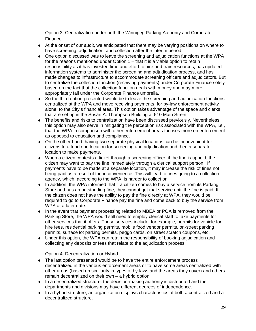#### Option 3: Centralization under both the Winnipeg Parking Authority and Corporate Finance

- ♦ At the onset of our audit, we anticipated that there may be varying positions on where to have screening, adjudication, and collection after the interim period.
- ♦ One option discussed was to leave the screening and adjudication functions at the WPA for the reasons mentioned under Option 1 – that it is a viable option to retain responsibility as it has invested time and effort to hire and train resources, has updated information systems to administer the screening and adjudication process, and has made changes to infrastructure to accommodate screening officers and adjudicators. But to centralize the collection function (receiving payments) under Corporate Finance solely based on the fact that the collection function deals with money and may more appropriately fall under the Corporate Finance umbrella.
- ♦ So the third option presented would be to leave the screening and adjudication functions centralized at the WPA and move receiving payments, for by-law enforcement activity alone, to the City's financial area. This option takes advantage of the space and clerks that are set up in the Susan A. Thompson Building at 510 Main Street.
- ♦ The benefits and risks to centralization have been discussed previously. Nevertheless, this option may also serve in mitigating the perception risk associated with the WPA, i.e., that the WPA in comparison with other enforcement areas focuses more on enforcement as opposed to education and compliance.
- ♦ On the other hand, having two separate physical locations can be inconvenient for citizens to attend one location for screening and adjudication and then a separate location to make payments.
- $\blacklozenge$  When a citizen contests a ticket through a screening officer, if the fine is upheld, the citizen may want to pay the fine immediately through a clerical support person. If payments have to be made at a separate location, it may increase the risk of fines not being paid as a result of the inconvenience. This will lead to fines going to a collection agency, which, according to the WPA, is harder to collect on.
- ♦ In addition, the WPA informed that if a citizen comes to buy a service from its Parking Store and has an outstanding fine, they cannot get that service until the fine is paid. If the citizen does not have the ability to pay the fine directly at WPA, they would be required to go to Corporate Finance pay the fine and come back to buy the service from WPA at a later date.
- ♦ In the event that payment processing related to MBEA or POA is removed from the Parking Store, the WPA would still need to employ clerical staff to take payments for other services that it offers. Those services include, for example, permits for vehicle for hire fees, residential parking permits, mobile food vendor permits, on-street parking permits, surface lot parking permits, peggo cards, on street scratch coupons, etc.
- ♦ Under this option, the WPA can retain the responsibility of booking adjudication and collecting any deposits or fees that relate to the adjudication process.

#### Option 4: Decentralization or Hybrid

- The last option presented would be to have the entire enforcement process decentralized in the various enforcement areas or to have some areas centralized with other areas (based on similarity in types of by-laws and the areas they cover) and others remain decentralized on their own – a hybrid option.
- $\bullet$  In a decentralized structure, the decision-making authority is distributed and the departments and divisions may have different degrees of independence.
- ♦ In a hybrid structure, an organization displays characteristics of both a centralized and a decentralized structure.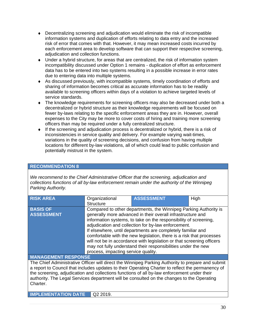- ♦ Decentralizing screening and adjudication would eliminate the risk of incompatible information systems and duplication of efforts relating to data entry and the increased risk of error that comes with that. However, it may mean increased costs incurred by each enforcement area to develop software that can support their respective screening, adjudication and collection functions.
- ♦ Under a hybrid structure, for areas that are centralized, the risk of information system incompatibility discussed under Option 1 remains - duplication of effort as enforcement data has to be entered into two systems resulting in a possible increase in error rates due to entering data into multiple systems.
- ♦ As discussed previously, with incompatible systems, timely coordination of efforts and sharing of information becomes critical as accurate information has to be readily available to screening officers within days of a violation to achieve targeted levels of service standards.
- ♦ The knowledge requirements for screening officers may also be decreased under both a decentralized or hybrid structure as their knowledge requirements will be focused on fewer by-laws relating to the specific enforcement areas they are in. However, overall expenses to the City may be more to cover costs of hiring and training more screening officers than may be required under a fully centralized structure.
- ♦ If the screening and adjudication process is decentralized or hybrid, there is a risk of inconsistencies in service quality and delivery. For example varying wait-times, variations in the quality of screening decisions, and confusion from having multiple locations for different by-law violations, all of which could lead to public confusion and potentially mistrust in the system.

#### **RECOMMENDATION 8**

*We recommend to the Chief Administrative Officer that the screening, adjudication and collections functions of all by-law enforcement remain under the authority of the Winnipeg Parking Authority.* 

| <b>RISK AREA</b>                                                                                                                                                                                                                                                                                                                                                                                                | Organizational<br><b>Structure</b>                                                                                                                                                                                                                                                                                                                                                                                                                                                                                                                                                 | <b>ASSESSMENT</b> | High |  |
|-----------------------------------------------------------------------------------------------------------------------------------------------------------------------------------------------------------------------------------------------------------------------------------------------------------------------------------------------------------------------------------------------------------------|------------------------------------------------------------------------------------------------------------------------------------------------------------------------------------------------------------------------------------------------------------------------------------------------------------------------------------------------------------------------------------------------------------------------------------------------------------------------------------------------------------------------------------------------------------------------------------|-------------------|------|--|
| <b>BASIS OF</b><br><b>ASSESSMENT</b>                                                                                                                                                                                                                                                                                                                                                                            | Compared to other departments, the Winnipeg Parking Authority is<br>generally more advanced in their overall infrastructure and<br>information systems, to take on the responsibility of screening,<br>adjudication and collection for by-law enforcement.<br>If elsewhere, until departments are completely familiar and<br>comfortable with the new legislation, there is a risk that processes<br>will not be in accordance with legislation or that screening officers<br>may not fully understand their responsibilities under the new<br>process, impacting service quality. |                   |      |  |
| <b>MANAGEMENT RESPONSE</b>                                                                                                                                                                                                                                                                                                                                                                                      |                                                                                                                                                                                                                                                                                                                                                                                                                                                                                                                                                                                    |                   |      |  |
| The Chief Administrative Officer will direct the Winnipeg Parking Authority to prepare and submit<br>a report to Council that includes updates to their Operating Charter to reflect the permanency of<br>the screening, adjudication and collections functions of all by-law enforcement under their<br>authority. The Legal Services department will be consulted on the changes to the Operating<br>Charter. |                                                                                                                                                                                                                                                                                                                                                                                                                                                                                                                                                                                    |                   |      |  |
| <b>IMPLEMENTATION DATE</b>                                                                                                                                                                                                                                                                                                                                                                                      | Q2 2019.                                                                                                                                                                                                                                                                                                                                                                                                                                                                                                                                                                           |                   |      |  |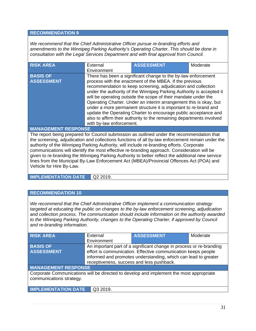#### **RECOMMENDATION 9**

*We recommend that the Chief Administrative Officer pursue re-branding efforts and amendments to the Winnipeg Parking Authority's Operating Charter. This should be done in consultation with the Legal Services Department and with final approval from Council.* 

| <b>RISK AREA</b>                                                                                                                                                                                                                                                                                                                                                                                                                                                            | External<br>Environment  | <b>ASSESSMENT</b>                                                                                                                                                                                                                                                                                                                                                                                                                                                                                                                                                                                                       | Moderate |
|-----------------------------------------------------------------------------------------------------------------------------------------------------------------------------------------------------------------------------------------------------------------------------------------------------------------------------------------------------------------------------------------------------------------------------------------------------------------------------|--------------------------|-------------------------------------------------------------------------------------------------------------------------------------------------------------------------------------------------------------------------------------------------------------------------------------------------------------------------------------------------------------------------------------------------------------------------------------------------------------------------------------------------------------------------------------------------------------------------------------------------------------------------|----------|
| <b>BASIS OF</b><br><b>ASSESSMENT</b><br>$\begin{array}{c} \begin{array}{c} \hline \textbf{A} & \textbf{B} & \textbf{B} & \textbf{B} & \textbf{B} & \textbf{B} & \textbf{B} & \textbf{B} & \textbf{B} & \textbf{B} & \textbf{B} & \textbf{B} & \textbf{B} & \textbf{B} & \textbf{B} & \textbf{B} & \textbf{B} & \textbf{B} & \textbf{B} & \textbf{B} & \textbf{B} & \textbf{B} & \textbf{B} & \textbf{B} & \textbf{B} & \textbf{B} & \textbf{B} & \textbf{B} & \textbf{B} &$ | with by-law enforcement. | There has been a significant change to the by-law enforcement<br>process with the enactment of the MBEA. If the previous<br>recommendation to keep screening, adjudication and collection<br>under the authority of the Winnipeg Parking Authority is accepted it<br>will be operating outside the scope of their mandate under the<br>Operating Charter. Under an interim arrangement this is okay, but<br>under a more permanent structure it is important to re-brand and<br>update the Operating Charter to encourage public acceptance and<br>also to affirm their authority to the remaining departments involved |          |

#### **MANAGEMENT RESPONSE**

The report being prepared for Council submission as outlined under the recommendation that the screening, adjudication and collections functions of all by-law enforcement remain under the authority of the Winnipeg Parking Authority, will include re-branding efforts. Corporate communications will identify the most effective re-branding approach. Consideration will be given to re-branding the Winnipeg Parking Authority to better reflect the additional new service lines from the Municipal By-Law Enforcement Act (MBEA)/Provincial Offences Act (POA) and Vehicle for Hire By-Law.

**IMPLEMENTATION DATE** Q2 2019.

#### **RECOMMENDATION 10**

*We recommend that the Chief Administrative Officer implement a communication strategy targeted at educating the public on changes to the by-law enforcement screening, adjudication and collection process. The communication should include information on the authority awarded*  to the Winnipeg Parking Authority, changes to the Operating Charter, if approved by Council *and re-branding information.* 

| <b>RISK AREA</b>                                                                        | External                                                       | <b>ASSESSMENT</b>                                                   | Moderate |
|-----------------------------------------------------------------------------------------|----------------------------------------------------------------|---------------------------------------------------------------------|----------|
|                                                                                         | Environment                                                    |                                                                     |          |
| <b>BASIS OF</b>                                                                         |                                                                | An important part of a significant change in process or re-branding |          |
| <b>ASSESSMENT</b>                                                                       |                                                                | effort is communication. Effective communication keeps people       |          |
|                                                                                         | informed and promotes understanding, which can lead to greater |                                                                     |          |
|                                                                                         | receptiveness, success and less pushback.                      |                                                                     |          |
| <b>MANAGEMENT RESPONSE</b>                                                              |                                                                |                                                                     |          |
| Corporate Communications will be directed to develop and implement the most appropriate |                                                                |                                                                     |          |
| communications strategy.                                                                |                                                                |                                                                     |          |
|                                                                                         |                                                                |                                                                     |          |
| <b>IMPLEMENTATION DATE</b>                                                              | Q3 2019.                                                       |                                                                     |          |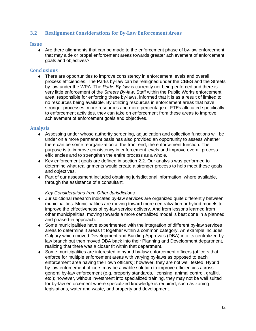#### **3.2 Realignment Considerations for By-Law Enforcement Areas**

#### **Issue**

♦ Are there alignments that can be made to the enforcement phase of by-law enforcement that may aide or propel enforcement areas towards greater achievement of enforcement goals and objectives?

#### **Conclusions**

♦ There are opportunities to improve consistency in enforcement levels and overall process efficiencies. The Parks by-law can be realigned under the CBES and the Streets by-law under the WPA. The *Parks By-law* is currently not being enforced and there is very little enforcement of the *Streets By-law*. Staff within the Public Works enforcement area, responsible for enforcing these by-laws, informed that it is as a result of limited to no resources being available. By utilizing resources in enforcement areas that have stronger processes, more resources and more percentage of FTEs allocated specifically to enforcement activities, they can take on enforcement from these areas to improve achievement of enforcement goals and objectives.

#### **Analysis**

- ♦ Assessing under whose authority screening, adjudication and collection functions will be under on a more permanent basis has also provided an opportunity to assess whether there can be some reorganization at the front end, the enforcement function. The purpose is to improve consistency in enforcement levels and improve overall process efficiencies and to strengthen the entire process as a whole.
- $\bullet$  Key enforcement goals are defined in section 2.2. Our analysis was performed to determine what realignments would create a stronger process to help meet these goals and objectives.
- ♦ Part of our assessment included obtaining jurisdictional information, where available, through the assistance of a consultant.

#### *Key Considerations from Other Jurisdictions*

- ♦ Jurisdictional research indicates by-law services are organized quite differently between municipalities. Municipalities are moving toward more centralization or hybrid models to improve the effectiveness of by-law service delivery. And from lessons learned from other municipalities, moving towards a more centralized model is best done in a planned and phased-in approach.
- ♦ Some municipalities have experimented with the integration of different by-law services areas to determine if areas fit together within a common category. An example includes Calgary which moved Development and Building Approvals (DBA) into its centralized bylaw branch but then moved DBA back into their Planning and Development department, realizing that there was a closer fit within that department.
- ♦ Some municipalities are interested in hybrid by-law enforcement officers (officers that enforce for multiple enforcement areas with varying by-laws as opposed to each enforcement area having their own officers); however, they are not well tested. Hybrid by-law enforcement officers may be a viable solution to improve efficiencies across general by-law enforcement (e.g. property standards, licensing, animal control, graffiti, etc.); however, without investment into specialized training, they may not be well suited for by-law enforcement where specialized knowledge is required, such as zoning legislations, water and waste, and property and development.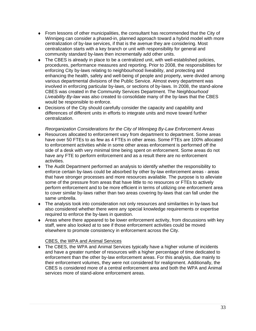- $\bullet$  From lessons of other municipalities, the consultant has recommended that the City of Winnipeg can consider a phased-in, planned approach toward a hybrid model with more centralization of by-law services, if that is the avenue they are considering. Most centralization starts with a key branch or unit with responsibility for general and community standard by-laws then incrementally add other units.
- ♦ The CBES is already in place to be a centralized unit, with well-established policies, procedures, performance measures and reporting. Prior to 2008, the responsibilities for enforcing City by-laws relating to neighbourhood liveability, and protecting and enhancing the health, safety and well-being of people and property, were divided among various departmental divisions of the Public Service. Almost every department was involved in enforcing particular by-laws, or sections of by-laws. In 2008, the stand-alone CBES was created in the Community Services Department. The *Neighbourhood Liveability By-law* was also created to consolidate many of the by-laws that the CBES would be responsible to enforce.
- ♦ Decisions of the City should carefully consider the capacity and capability and differences of different units in efforts to integrate units and move toward further centralization.

#### *Reorganization Considerations for the City of Winnipeg By-Law Enforcement Areas*

- ♦ Resources allocated to enforcement vary from department to department. Some areas have over 50 FTEs to as few as 4 FTEs in other areas. Some FTEs are 100% allocated to enforcement activities while in some other areas enforcement is performed off the side of a desk with very minimal time being spent on enforcement. Some areas do not have any FTE to perform enforcement and as a result there are no enforcement activities.
- ♦ The Audit Department performed an analysis to identify whether the responsibility to enforce certain by-laws could be absorbed by other by-law enforcement areas - areas that have stronger processes and more resources available. The purpose is to alleviate some of the pressure from areas that have little to no resources or FTEs to actively perform enforcement and to be more efficient in terms of utilizing one enforcement area to cover similar by-laws rather than two areas covering by-laws that can fall under the same umbrella.
- ♦ The analysis took into consideration not only resources and similarities in by-laws but also considered whether there were any special knowledge requirements or expertise required to enforce the by-laws in question.
- ♦ Areas where there appeared to be lower enforcement activity, from discussions with key staff, were also looked at to see if those enforcement activities could be moved elsewhere to promote consistency in enforcement across the City.

#### CBES, the WPA and Animal Services

♦ The CBES, the WPA and Animal Services typically have a higher volume of incidents and have a greater number of resources with a higher percentage of time dedicated to enforcement than the other by-law enforcement areas. For this analysis, due mainly to their enforcement volumes, they were not considered for realignment. Additionally, the CBES is considered more of a central enforcement area and both the WPA and Animal services more of stand-alone enforcement areas.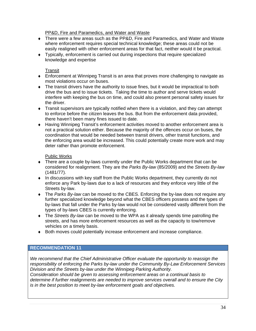PP&D, Fire and Paramedics, and Water and Waste

- ♦ There were a few areas such as the PP&D, Fire and Paramedics, and Water and Waste where enforcement requires special technical knowledge; these areas could not be easily realigned with other enforcement areas for that fact, neither would it be practical.
- ♦ Typically, enforcement is carried out during inspections that require specialized knowledge and expertise

#### Transit

- ♦ Enforcement at Winnipeg Transit is an area that proves more challenging to navigate as most violations occur on buses.
- ♦ The transit drivers have the authority to issue fines, but it would be impractical to both drive the bus and to issue tickets. Taking the time to author and serve tickets would interfere with keeping the bus on time, and could also present personal safety issues for the driver.
- ♦ Transit supervisors are typically notified when there is a violation, and they can attempt to enforce before the citizen leaves the bus. But from the enforcement data provided, there haven't been many fines issued to date.
- ♦ Having Winnipeg Transit's enforcement activities moved to another enforcement area is not a practical solution either. Because the majority of the offences occur on buses, the coordination that would be needed between transit drivers, other transit functions, and the enforcing area would be increased. This could potentially create more work and may deter rather than promote enforcement.

#### Public Works

- ♦ There are a couple by-laws currently under the Public Works department that can be considered for realignment. They are the *Parks By-law* (85/2009) and the *Streets By-law* (1481/77).
- ♦ In discussions with key staff from the Public Works department, they currently do not enforce any Park by-laws due to a lack of resources and they enforce very little of the Streets by-law.
- ♦ The *Parks By-law* can be moved to the CBES. Enforcing the by-law does not require any further specialized knowledge beyond what the CBES officers possess and the types of by-laws that fall under the Parks by-law would not be considered vastly different from the types of by-laws CBES is currently enforcing.
- ♦ The *Streets By-law* can be moved to the WPA as it already spends time patrolling the streets, and has more enforcement resources as well as the capacity to tow/remove vehicles on a timely basis.
- ♦ Both moves could potentially increase enforcement and increase compliance.

#### **RECOMMENDATION 11**

*We recommend that the Chief Administrative Officer evaluate the opportunity to reassign the responsibility of enforcing the Parks by-law under the Community By-Law Enforcement Services Division and the Streets by-law under the Winnipeg Parking Authority.* 

*Consideration should be given to assessing enforcement areas on a continual basis to determine if further realignments are needed to improve services overall and to ensure the City is in the best position to meet by-law enforcement goals and objectives.*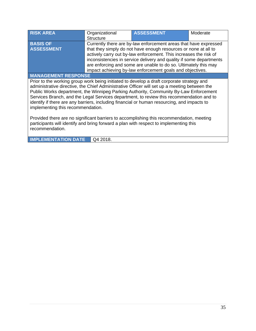| <b>RISK AREA</b>                                                                             | Organizational<br><b>Structure</b> | <b>ASSESSMENT</b>                                                                         | Moderate |  |
|----------------------------------------------------------------------------------------------|------------------------------------|-------------------------------------------------------------------------------------------|----------|--|
| <b>BASIS OF</b>                                                                              |                                    | Currently there are by-law enforcement areas that have expressed                          |          |  |
| <b>ASSESSMENT</b>                                                                            |                                    | that they simply do not have enough resources or none at all to                           |          |  |
|                                                                                              |                                    | actively carry out by-law enforcement. This increases the risk of                         |          |  |
|                                                                                              |                                    | inconsistencies in service delivery and quality if some departments                       |          |  |
|                                                                                              |                                    | are enforcing and some are unable to do so. Ultimately this may                           |          |  |
|                                                                                              |                                    | impact achieving by-law enforcement goals and objectives.                                 |          |  |
| <b>MANAGEMENT RESPONSE</b>                                                                   |                                    |                                                                                           |          |  |
|                                                                                              |                                    | Prior to the working group work being initiated to develop a draft corporate strategy and |          |  |
| administrative directive, the Chief Administrative Officer will set up a meeting between the |                                    |                                                                                           |          |  |
| Public Works department, the Winnipeg Parking Authority, Community By-Law Enforcement        |                                    |                                                                                           |          |  |
| Services Branch, and the Legal Services department, to review this recommendation and to     |                                    |                                                                                           |          |  |
| identify if there are any barriers, including financial or human resourcing, and impacts to  |                                    |                                                                                           |          |  |
| implementing this recommendation.                                                            |                                    |                                                                                           |          |  |
|                                                                                              |                                    |                                                                                           |          |  |
| Provided there are no significant barriers to accomplishing this recommendation, meeting     |                                    |                                                                                           |          |  |
| participants will identify and bring forward a plan with respect to implementing this        |                                    |                                                                                           |          |  |
| recommendation.                                                                              |                                    |                                                                                           |          |  |
|                                                                                              |                                    |                                                                                           |          |  |

**IMPLEMENTATION DATE** Q4 2018.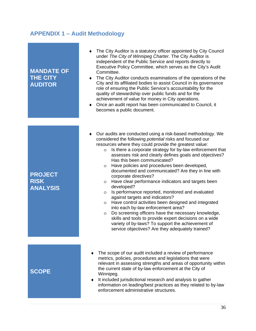## **APPENDIX 1 – Audit Methodology**

| <b>MANDATE OF</b><br><b>THE CITY</b><br><b>AUDITOR</b> | The City Auditor is a statutory officer appointed by City Council<br>under The City of Winnipeg Charter. The City Auditor is<br>independent of the Public Service and reports directly to<br>Executive Policy Committee, which serves as the City's Audit<br>Committee.<br>The City Auditor conducts examinations of the operations of the<br>City and its affiliated bodies to assist Council in its governance<br>role of ensuring the Public Service's accountability for the<br>quality of stewardship over public funds and for the<br>achievement of value for money in City operations.<br>Once an audit report has been communicated to Council, it<br>$\bullet$<br>becomes a public document.                                                                                                                                                                                                                                                                                                                                    |
|--------------------------------------------------------|-------------------------------------------------------------------------------------------------------------------------------------------------------------------------------------------------------------------------------------------------------------------------------------------------------------------------------------------------------------------------------------------------------------------------------------------------------------------------------------------------------------------------------------------------------------------------------------------------------------------------------------------------------------------------------------------------------------------------------------------------------------------------------------------------------------------------------------------------------------------------------------------------------------------------------------------------------------------------------------------------------------------------------------------|
|                                                        |                                                                                                                                                                                                                                                                                                                                                                                                                                                                                                                                                                                                                                                                                                                                                                                                                                                                                                                                                                                                                                           |
| <b>PROJECT</b><br><b>RISK</b><br><b>ANALYSIS</b>       | Our audits are conducted using a risk-based methodology. We<br>$\bullet$<br>considered the following potential risks and focused our<br>resources where they could provide the greatest value:<br>Is there a corporate strategy for by-law enforcement that<br>$\circ$<br>assesses risk and clearly defines goals and objectives?<br>Has this been communicated?<br>Have policies and procedures been developed,<br>$\circ$<br>documented and communicated? Are they in line with<br>corporate directives?<br>Have clear performance indicators and targets been<br>$\circ$<br>developed?<br>Is performance reported, monitored and evaluated<br>$\circ$<br>against targets and indicators?<br>Have control activities been designed and integrated<br>$\circ$<br>into each by-law enforcement area?<br>Do screening officers have the necessary knowledge,<br>$\circ$<br>skills and tools to provide expert decisions on a wide<br>variety of by-laws? To support the achievement of<br>service objectives? Are they adequately trained? |
|                                                        |                                                                                                                                                                                                                                                                                                                                                                                                                                                                                                                                                                                                                                                                                                                                                                                                                                                                                                                                                                                                                                           |
| <b>SCOPE</b>                                           | The scope of our audit included a review of performance<br>metrics, policies, procedures and legislations that were<br>relevant in assessing strengths and areas of opportunity within<br>the current state of by-law enforcement at the City of<br>Winnipeg.<br>It included jurisdictional research and analysis to gather<br>information on leading/best practices as they related to by-law<br>enforcement administrative structures.                                                                                                                                                                                                                                                                                                                                                                                                                                                                                                                                                                                                  |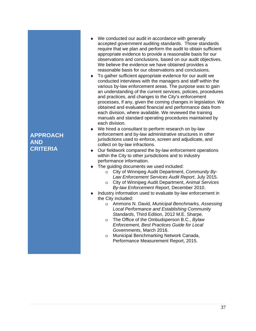#### We conducted our audit in accordance with generally accepted government auditing standards. Those standards require that we plan and perform the audit to obtain sufficient appropriate evidence to provide a reasonable basis for our observations and conclusions, based on our audit objectives. We believe the evidence we have obtained provides a reasonable basis for our observations and conclusions.

- To gather sufficient appropriate evidence for our audit we conducted interviews with the managers and staff within the various by-law enforcement areas. The purpose was to gain an understanding of the current services, policies, procedures and practices, and changes to the City's enforcement processes, if any, given the coming changes in legislation. We obtained and evaluated financial and performance data from each division, where available. We reviewed the training manuals and standard operating procedures maintained by each division.
- We hired a consultant to perform research on by-law enforcement and by-law administrative structures in other jurisdictions used to enforce, screen and adjudicate, and collect on by-law infractions.
- Our fieldwork compared the by-law enforcement operations within the City to other jurisdictions and to industry performance information.
- The quiding documents we used included:
	- o City of Winnipeg Audit Department, *Community By-Law Enforcement Services Audit Report*, July 2015.
	- o City of Winnipeg Audit Department, *Animal Services By-law Enforcement Report*, December 2010.
- Industry information used to evaluate by-law enforcement in the City included:
	- o Ammons N. David, *Municipal Benchmarks, Assessing Local Performance and Establishing Community Standards*, Third Edition, 2012 M.E. Sharpe.
	- o The Office of the Ombudsperson B.C., *Bylaw Enforcement, Best Practices Guide for Local Governments*, March 2016.
	- o Municipal Benchmarking Network Canada, Performance Measurement Report, 2015.

## **APPROACH AND CRITERIA**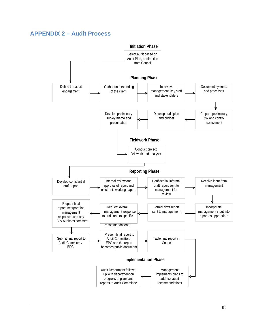### **APPENDIX 2 – Audit Process**

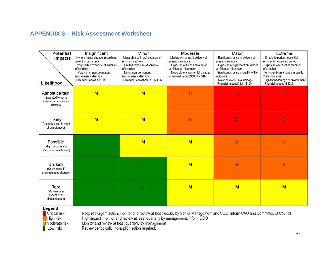## **APPENDIX 3 – Risk Assessment Worksheet**

| <b>Potential</b><br><b>Impacts</b><br>Likelihood                        | Insignificant<br>- None or minor change in services,<br>project or processes<br>- Very limited exposure of sensitive<br>information<br>Very minor, non-permanent<br>environmental damage<br>- Financial impact < \$100K | Minor<br>- Minor change in achievement of<br>service objectives<br>- Limited exposure of sensitive<br>information<br>- Minor, non-permanent<br>environmental damage<br>- Financial impact \$100K - \$500K | Moderate<br>- Moderate change in delivery of<br>essential services<br>Exposure of limited amount of<br>confidential information<br>- Moderate environmental damage<br>- Financial impact \$500K - \$1M | Major<br>- Significant change in delivery of<br>essential services<br>- Exposure of significant amount of<br>confidential information<br>- Significant change in quality of life<br>indicators<br>- Major environmental damage<br>- Financial impact \$1M - \$10M | Extreme<br>- Unable to perform essential<br>services for extended period<br>Exposure of critical confidential<br>information<br>- Very significant change in quality<br>of life indicators<br>- Significant damage to environment<br>- Financial impact >\$10M |
|-------------------------------------------------------------------------|-------------------------------------------------------------------------------------------------------------------------------------------------------------------------------------------------------------------------|-----------------------------------------------------------------------------------------------------------------------------------------------------------------------------------------------------------|--------------------------------------------------------------------------------------------------------------------------------------------------------------------------------------------------------|-------------------------------------------------------------------------------------------------------------------------------------------------------------------------------------------------------------------------------------------------------------------|----------------------------------------------------------------------------------------------------------------------------------------------------------------------------------------------------------------------------------------------------------------|
| Almost certain<br>(Excepted to occur<br>unless circumstances<br>change) | M                                                                                                                                                                                                                       | M                                                                                                                                                                                                         | Н                                                                                                                                                                                                      | $\mathbf C$                                                                                                                                                                                                                                                       | Ċ                                                                                                                                                                                                                                                              |
| Likely<br>(Probably occur in most<br>circumstances)                     | M                                                                                                                                                                                                                       | M                                                                                                                                                                                                         | H                                                                                                                                                                                                      | $\mathbf C$                                                                                                                                                                                                                                                       | C                                                                                                                                                                                                                                                              |
| Possible<br>(Might occur under<br>different circumstances)              |                                                                                                                                                                                                                         | M                                                                                                                                                                                                         | M                                                                                                                                                                                                      | H                                                                                                                                                                                                                                                                 | H                                                                                                                                                                                                                                                              |
| Unlikely<br>(Could occur if<br>circumstances change)                    |                                                                                                                                                                                                                         |                                                                                                                                                                                                           | M                                                                                                                                                                                                      | H                                                                                                                                                                                                                                                                 | H                                                                                                                                                                                                                                                              |
| Rare<br>(May occur in<br>exceptional<br>circumstances)<br>Legend        |                                                                                                                                                                                                                         |                                                                                                                                                                                                           | M                                                                                                                                                                                                      | M                                                                                                                                                                                                                                                                 | M                                                                                                                                                                                                                                                              |

C Critical risk: H High risk:

M Moderate risk:

L Low risk:

Requires urgent action, monitor and review at least weekly by Senior Management and COO, inform CAO and Committee of Council<br>High impact, monitor and review at least quarterly by management, inform COO<br>Monitor and review a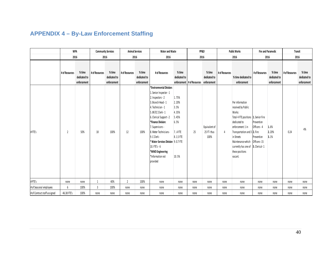## **APPENDIX 4 – By-Law Enforcement Staffing**

|                              | <b>WPA</b>     |                                       | <b>Community Services</b> |                                       | <b>Animal Services</b> |                                       | Water and Waste                                                                                                                                                                                                                                                                                                                                                       |                                                                                   | PP&D                                   |                                     | <b>Public Works</b> |                                                                                                                                                                                                                                                                                 | <b>Fire and Paramedic</b>                |                                       | <b>Transit</b> |                                       |
|------------------------------|----------------|---------------------------------------|---------------------------|---------------------------------------|------------------------|---------------------------------------|-----------------------------------------------------------------------------------------------------------------------------------------------------------------------------------------------------------------------------------------------------------------------------------------------------------------------------------------------------------------------|-----------------------------------------------------------------------------------|----------------------------------------|-------------------------------------|---------------------|---------------------------------------------------------------------------------------------------------------------------------------------------------------------------------------------------------------------------------------------------------------------------------|------------------------------------------|---------------------------------------|----------------|---------------------------------------|
|                              | 2016           |                                       | 2016                      |                                       | 2016                   |                                       | 2016                                                                                                                                                                                                                                                                                                                                                                  |                                                                                   | 2016                                   |                                     | 2016                |                                                                                                                                                                                                                                                                                 | 2016                                     |                                       | 2016           |                                       |
|                              | # of Resources | % time<br>dedicated to<br>enforcement | # of Resources            | % time<br>dedicated to<br>enforcement | # of Resources         | % time<br>dedicated to<br>enforcement | # of Resources                                                                                                                                                                                                                                                                                                                                                        | % time<br>dedicated to                                                            | enforcement # of Resources enforcement | % time<br>dedicated to              | # of Resources      | % time dedicated to<br>enforcement                                                                                                                                                                                                                                              | # of Resources                           | % time<br>dedicated to<br>enforcement | # of Resources | % time<br>dedicated to<br>enforcement |
| #FTE's                       | $\overline{2}$ | 50%                                   | 18                        | 100%                                  | 12                     | 100%                                  | *Environmental Division:<br>1. Senior Inspector - 1<br>2. Inspectors - 2<br>3. Branch Head - 1<br>4. Technician - 1<br>5. BF/CC Clerk - 1<br>6. Clerical Support - 2<br>*Finance Division:<br>7. Supervisors -<br>8. Meter Technicians-<br>9. C Clerk -<br>* Water Services Division 9.0.7 FTE<br>10. $FTE's - 6$<br>*WWD Engineering<br>*Information not<br>provided | 1.75%<br>2.20%<br>3.5%<br>4.35%<br>5.45%<br>6.5%<br>7.4 FTE<br>8.1.5 FTE<br>10.5% | 25                                     | Equivalent of<br>25 FT-thus<br>100% | 4                   | Per information<br>received by Public<br>Works:<br>Total 4 FTE positions 1. Senior Fire<br>dedicated to<br>enforcement: 1 in<br>Transportation and 3 2. Fire<br>in Streets<br>Maintenance-which Officers-15<br>currently has one of 3. Clerical-1<br>these positions<br>vacant. | Prevention<br>Officers - 4<br>Prevention | 1.6%<br>2.20%<br>3.1%                 | 0.24           | 4%                                    |
| #PTE's                       | none           | none                                  |                           | 40%                                   | $\overline{2}$         | 100%                                  | none                                                                                                                                                                                                                                                                                                                                                                  | none                                                                              | none                                   | none                                | none                | none                                                                                                                                                                                                                                                                            | none                                     | none                                  | none           | none                                  |
| # of Seasonal employees      | 6              | 100%                                  | 3                         | 100%                                  | none                   | none                                  | none                                                                                                                                                                                                                                                                                                                                                                  | none                                                                              | none                                   | none                                | none                | none                                                                                                                                                                                                                                                                            | none                                     | none                                  | none           | none                                  |
| # of Contract staff assigned | 46.38 FTE's    | 100%                                  | none                      | none                                  | none                   | none                                  | none                                                                                                                                                                                                                                                                                                                                                                  | none                                                                              | none                                   | none                                | none                | none                                                                                                                                                                                                                                                                            | none                                     | none                                  | none           | none                                  |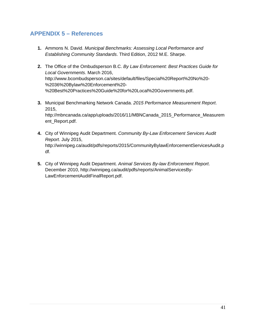## **APPENDIX 5 – References**

- **1.** Ammons N. David. *Municipal Benchmarks: Assessing Local Performance and Establishing Community Standards*. Third Edition, 2012 M.E. Sharpe.
- **2.** The Office of the Ombudsperson B.C. *By Law Enforcement: Best Practices Guide for Local Governments*. March 2016, http://www.bcombudsperson.ca/sites/default/files/Special%20Report%20No%20- %2036%20Bylaw%20Enforcement%20- %20Best%20Practices%20Guide%20for%20Local%20Governments.pdf.
- **3.** Municipal Benchmarking Network Canada. *2015 Performance Measurement Report*. 2015, http://mbncanada.ca/app/uploads/2016/11/MBNCanada\_2015\_Performance\_Measurem ent\_Report.pdf.
- **4.** City of Winnipeg Audit Department. *Community By-Law Enforcement Services Audit Report*. July 2015, http://winnipeg.ca/audit/pdfs/reports/2015/CommunityBylawEnforcementServicesAudit.p df.
- **5.** City of Winnipeg Audit Department. *Animal Services By-law Enforcement Report*. December 2010, http://winnipeg.ca/audit/pdfs/reports/AnimalServicesBy-LawEnforcementAuditFinalReport.pdf.